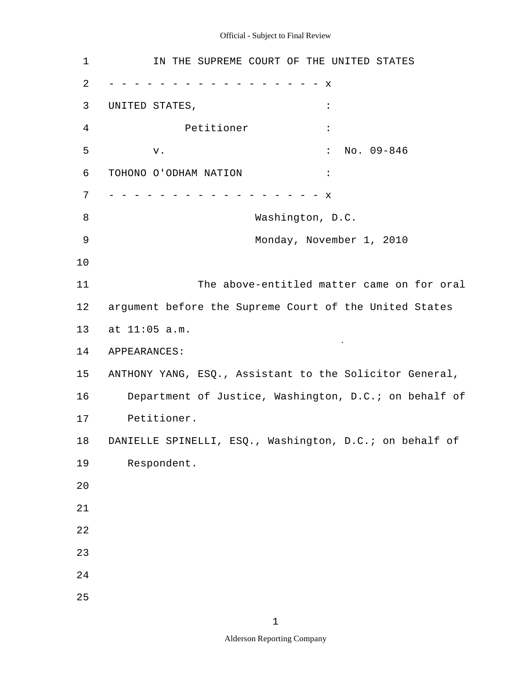| 1              | IN THE SUPREME COURT OF THE UNITED STATES               |
|----------------|---------------------------------------------------------|
| 2              | х                                                       |
| 3              | UNITED STATES,<br>$\ddot{\phantom{a}}$                  |
| $\overline{4}$ | Petitioner<br>$\ddot{\cdot}$                            |
| 5              | $No. 09-846$<br>$\ddot{\cdot}$<br>v.                    |
| 6              | TOHONO O'ODHAM NATION<br>$\ddot{\cdot}$                 |
| 7              | $\mathbf x$                                             |
| 8              | Washington, D.C.                                        |
| 9              | Monday, November 1, 2010                                |
| 10             |                                                         |
| 11             | The above-entitled matter came on for oral              |
| 12             | argument before the Supreme Court of the United States  |
| 13             | at 11:05 a.m.                                           |
| 14             | APPEARANCES:                                            |
| 15             | ANTHONY YANG, ESQ., Assistant to the Solicitor General, |
| 16             | Department of Justice, Washington, D.C.; on behalf of   |
| 17             | Petitioner.                                             |
| 18             | DANIELLE SPINELLI, ESQ., Washington, D.C.; on behalf of |
| 19             | Respondent.                                             |
| 20             |                                                         |
| $2\sqrt{1}$    |                                                         |
| 22             |                                                         |
| 23             |                                                         |
| 24             |                                                         |
| 25             |                                                         |

1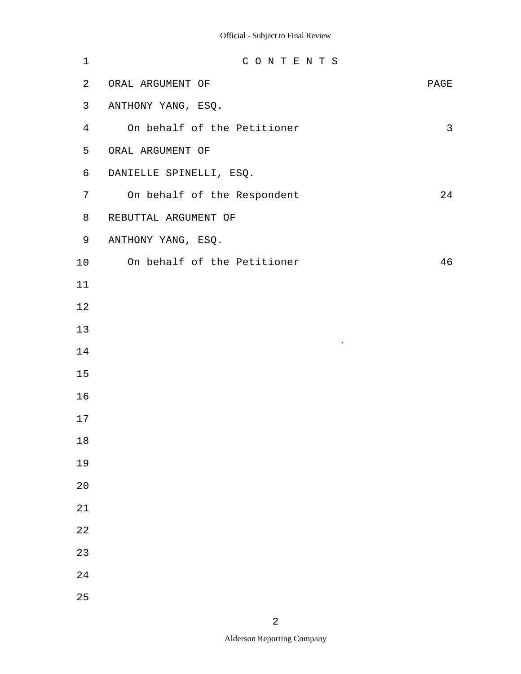| $\mathbf 1$    | CONTENTS                    |                |
|----------------|-----------------------------|----------------|
| $\overline{a}$ | ORAL ARGUMENT OF            | PAGE           |
| 3              | ANTHONY YANG, ESQ.          |                |
| $\overline{4}$ | On behalf of the Petitioner | $\mathfrak{Z}$ |
| 5              | ORAL ARGUMENT OF            |                |
| 6              | DANIELLE SPINELLI, ESQ.     |                |
| 7              | On behalf of the Respondent | 24             |
| 8              | REBUTTAL ARGUMENT OF        |                |
| 9              | ANTHONY YANG, ESQ.          |                |
| 10             | On behalf of the Petitioner | 46             |
| 11             |                             |                |
| $1\,2$         |                             |                |
| 13             |                             |                |
| 14             | $\boldsymbol{\checkmark}$   |                |
| 15             |                             |                |
| 16             |                             |                |
| $17$           |                             |                |
| $1\,8$         |                             |                |
| 19             |                             |                |
| 20             |                             |                |
| 21             |                             |                |
| 22             |                             |                |
| 23             |                             |                |
| 24             |                             |                |
| 25             |                             |                |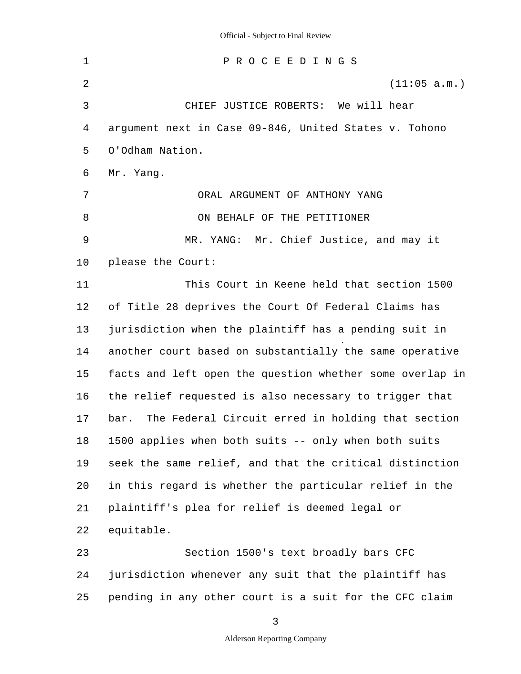1 2 3 4 5 6 7 8 9 10 11 12 13 14 15 16 17 18 19 20 21 22 23 24 25 P R O C E E D I N G S (11:05 a.m.) CHIEF JUSTICE ROBERTS: We will hear argument next in Case 09-846, United States v. Tohono O'Odham Nation. Mr. Yang. ORAL ARGUMENT OF ANTHONY YANG ON BEHALF OF THE PETITIONER MR. YANG: Mr. Chief Justice, and may it please the Court: This Court in Keene held that section 1500 of Title 28 deprives the Court Of Federal Claims has jurisdiction when the plaintiff has a pending suit in another court based on substantially the same operative facts and left open the question whether some overlap in the relief requested is also necessary to trigger that bar. The Federal Circuit erred in holding that section 1500 applies when both suits -- only when both suits seek the same relief, and that the critical distinction in this regard is whether the particular relief in the plaintiff's plea for relief is deemed legal or equitable. Section 1500's text broadly bars CFC jurisdiction whenever any suit that the plaintiff has pending in any other court is a suit for the CFC claim

3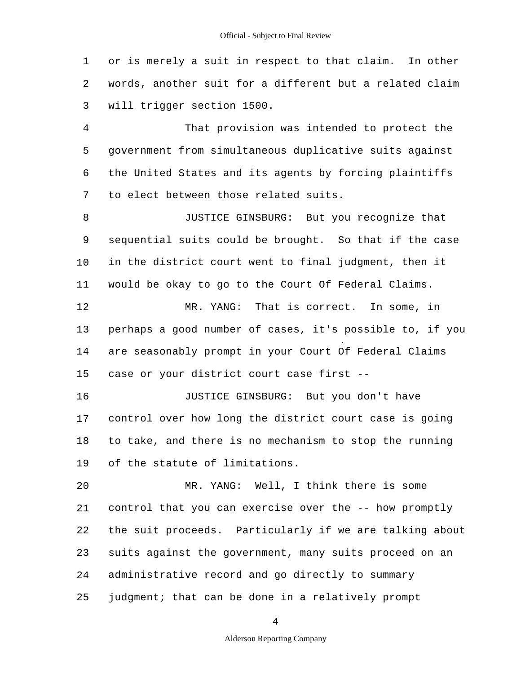1 2 3 or is merely a suit in respect to that claim. In other words, another suit for a different but a related claim will trigger section 1500.

4 5 6 7 That provision was intended to protect the government from simultaneous duplicative suits against the United States and its agents by forcing plaintiffs to elect between those related suits.

8 9 10 11 JUSTICE GINSBURG: But you recognize that sequential suits could be brought. So that if the case in the district court went to final judgment, then it would be okay to go to the Court Of Federal Claims.

12 13 14 15 MR. YANG: That is correct. In some, in perhaps a good number of cases, it's possible to, if you are seasonably prompt in your Court Of Federal Claims case or your district court case first -

16 17 18 19 JUSTICE GINSBURG: But you don't have control over how long the district court case is going to take, and there is no mechanism to stop the running of the statute of limitations.

20 21 22 23 24 25 MR. YANG: Well, I think there is some control that you can exercise over the -- how promptly the suit proceeds. Particularly if we are talking about suits against the government, many suits proceed on an administrative record and go directly to summary judgment; that can be done in a relatively prompt

4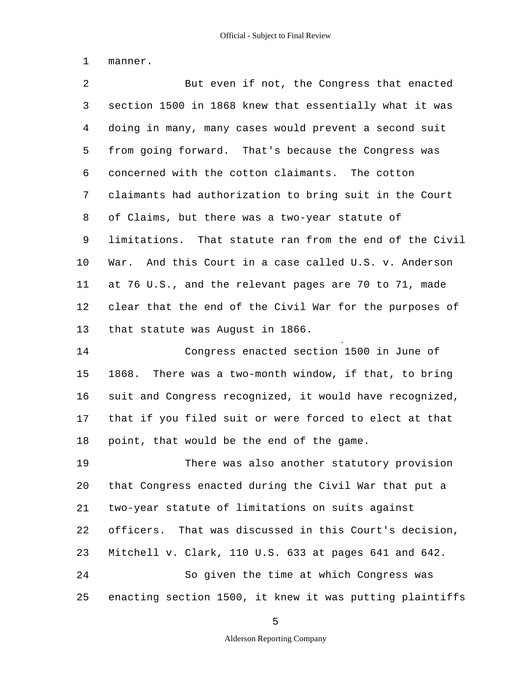1 manner.

2 3 4 5 6 7 8 9 10 11 12 13 14 15 16 17 18 But even if not, the Congress that enacted section 1500 in 1868 knew that essentially what it was doing in many, many cases would prevent a second suit from going forward. That's because the Congress was concerned with the cotton claimants. The cotton claimants had authorization to bring suit in the Court of Claims, but there was a two-year statute of limitations. That statute ran from the end of the Civil War. And this Court in a case called U.S. v. Anderson at 76 U.S., and the relevant pages are 70 to 71, made clear that the end of the Civil War for the purposes of that statute was August in 1866. Congress enacted section 1500 in June of 1868. There was a two-month window, if that, to bring suit and Congress recognized, it would have recognized, that if you filed suit or were forced to elect at that point, that would be the end of the game.

19 20 21 22 23 24 25 There was also another statutory provision that Congress enacted during the Civil War that put a two-year statute of limitations on suits against officers. That was discussed in this Court's decision, Mitchell v. Clark, 110 U.S. 633 at pages 641 and 642. So given the time at which Congress was enacting section 1500, it knew it was putting plaintiffs

5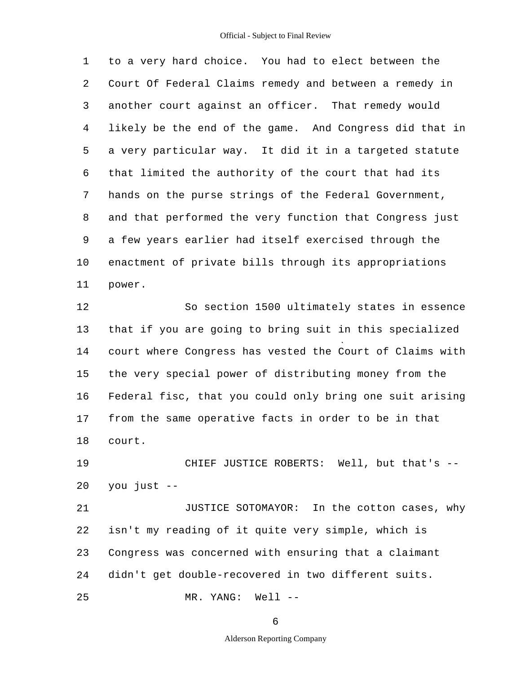1 2 3 4 5 6 7 8 9 10 11 to a very hard choice. You had to elect between the Court Of Federal Claims remedy and between a remedy in another court against an officer. That remedy would likely be the end of the game. And Congress did that in a very particular way. It did it in a targeted statute that limited the authority of the court that had its hands on the purse strings of the Federal Government, and that performed the very function that Congress just a few years earlier had itself exercised through the enactment of private bills through its appropriations power.

12 13 14 15 16 17 18 So section 1500 ultimately states in essence that if you are going to bring suit in this specialized court where Congress has vested the Court of Claims with the very special power of distributing money from the Federal fisc, that you could only bring one suit arising from the same operative facts in order to be in that court.

19 20 CHIEF JUSTICE ROBERTS: Well, but that's you just -

21 22 23 24 25 JUSTICE SOTOMAYOR: In the cotton cases, why isn't my reading of it quite very simple, which is Congress was concerned with ensuring that a claimant didn't get double-recovered in two different suits. MR. YANG: Well --

6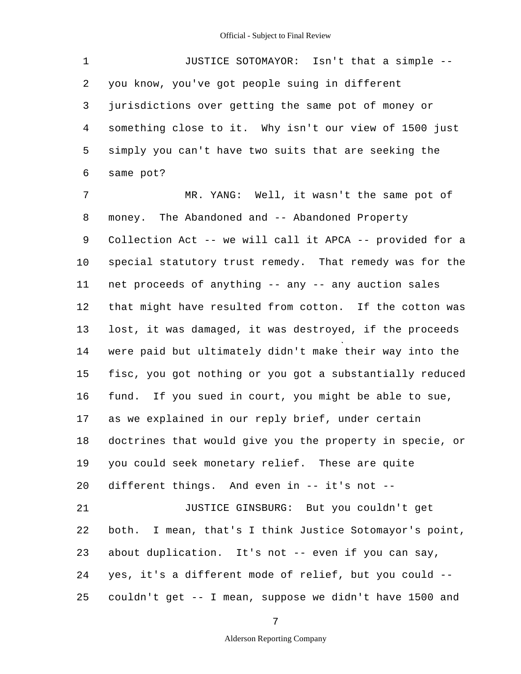1 2 3 4 5 6 JUSTICE SOTOMAYOR: Isn't that a simple you know, you've got people suing in different jurisdictions over getting the same pot of money or something close to it. Why isn't our view of 1500 just simply you can't have two suits that are seeking the same pot?

7 8 9 10 11 12 13 14 15 16 17 18 19 20 21 22 23 24 25 MR. YANG: Well, it wasn't the same pot of money. The Abandoned and -- Abandoned Property Collection Act -- we will call it APCA -- provided for a special statutory trust remedy. That remedy was for the net proceeds of anything -- any -- any auction sales that might have resulted from cotton. If the cotton was lost, it was damaged, it was destroyed, if the proceeds were paid but ultimately didn't make their way into the fisc, you got nothing or you got a substantially reduced fund. If you sued in court, you might be able to sue, as we explained in our reply brief, under certain doctrines that would give you the property in specie, or you could seek monetary relief. These are quite different things. And even in -- it's not - JUSTICE GINSBURG: But you couldn't get both. I mean, that's I think Justice Sotomayor's point, about duplication. It's not -- even if you can say, yes, it's a different mode of relief, but you could couldn't get -- I mean, suppose we didn't have 1500 and

7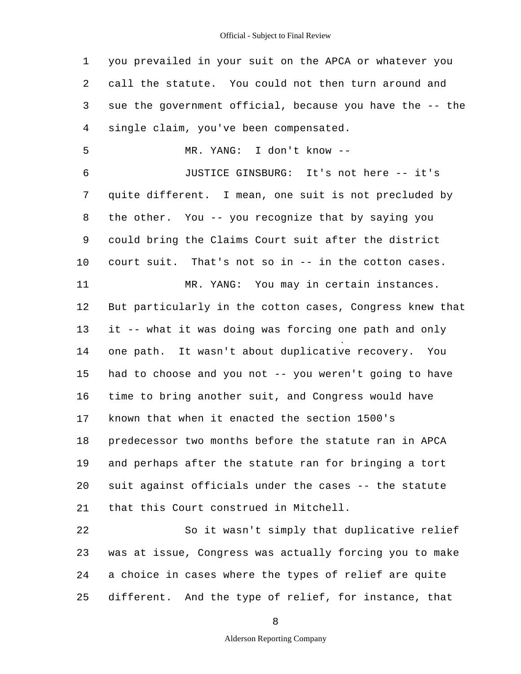1 2 3 4 5 6 7 8 9 10 11 12 13 14 15 16 17 18 19 20 21 22 23 you prevailed in your suit on the APCA or whatever you call the statute. You could not then turn around and sue the government official, because you have the -- the single claim, you've been compensated. MR. YANG: I don't know - JUSTICE GINSBURG: It's not here -- it's quite different. I mean, one suit is not precluded by the other. You -- you recognize that by saying you could bring the Claims Court suit after the district court suit. That's not so in -- in the cotton cases. MR. YANG: You may in certain instances. But particularly in the cotton cases, Congress knew that it -- what it was doing was forcing one path and only one path. It wasn't about duplicative recovery. You had to choose and you not -- you weren't going to have time to bring another suit, and Congress would have known that when it enacted the section 1500's predecessor two months before the statute ran in APCA and perhaps after the statute ran for bringing a tort suit against officials under the cases -- the statute that this Court construed in Mitchell. So it wasn't simply that duplicative relief was at issue, Congress was actually forcing you to make

25 different. And the type of relief, for instance, that

24

8

a choice in cases where the types of relief are quite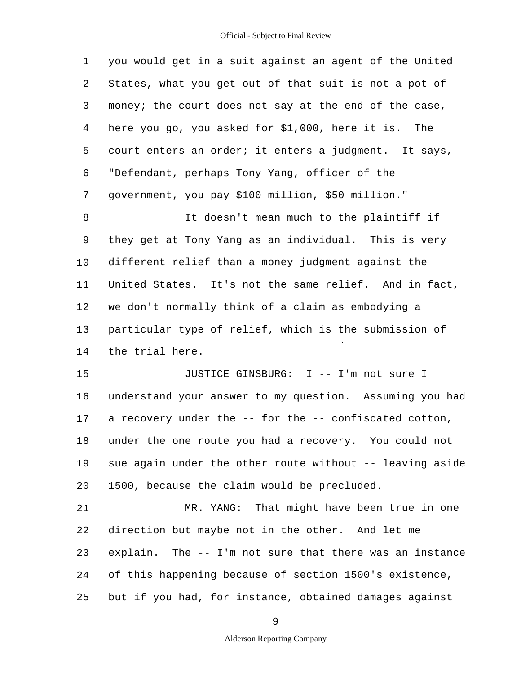1 2 3 4 5 6 7 you would get in a suit against an agent of the United States, what you get out of that suit is not a pot of money; the court does not say at the end of the case, here you go, you asked for \$1,000, here it is. The court enters an order; it enters a judgment. It says, "Defendant, perhaps Tony Yang, officer of the government, you pay \$100 million, \$50 million."

8 9 10 11 12 13 14 It doesn't mean much to the plaintiff if they get at Tony Yang as an individual. This is very different relief than a money judgment against the United States. It's not the same relief. And in fact, we don't normally think of a claim as embodying a particular type of relief, which is the submission of the trial here.

15 16 17 18 19 20 JUSTICE GINSBURG: I -- I'm not sure I understand your answer to my question. Assuming you had a recovery under the -- for the -- confiscated cotton, under the one route you had a recovery. You could not sue again under the other route without -- leaving aside 1500, because the claim would be precluded.

21 22 23 24 25 MR. YANG: That might have been true in one direction but maybe not in the other. And let me explain. The -- I'm not sure that there was an instance of this happening because of section 1500's existence, but if you had, for instance, obtained damages against

9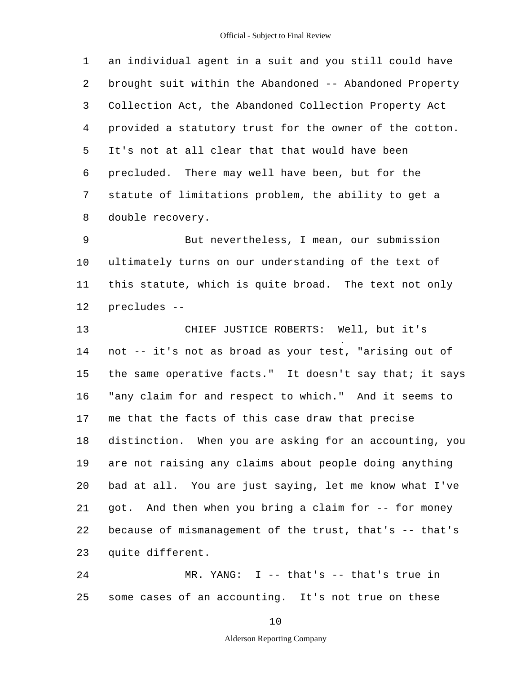1 2 3 4 5 6 7 8 an individual agent in a suit and you still could have brought suit within the Abandoned -- Abandoned Property Collection Act, the Abandoned Collection Property Act provided a statutory trust for the owner of the cotton. It's not at all clear that that would have been precluded. There may well have been, but for the statute of limitations problem, the ability to get a double recovery.

9 10 11 12 But nevertheless, I mean, our submission ultimately turns on our understanding of the text of this statute, which is quite broad. The text not only precludes -

13 14 15 16 17 18 19 20 21 22 23 CHIEF JUSTICE ROBERTS: Well, but it's not -- it's not as broad as your test, "arising out of the same operative facts." It doesn't say that; it says "any claim for and respect to which." And it seems to me that the facts of this case draw that precise distinction. When you are asking for an accounting, you are not raising any claims about people doing anything bad at all. You are just saying, let me know what I've got. And then when you bring a claim for -- for money because of mismanagement of the trust, that's -- that's quite different.

24 25 MR. YANG: I -- that's -- that's true in some cases of an accounting. It's not true on these

10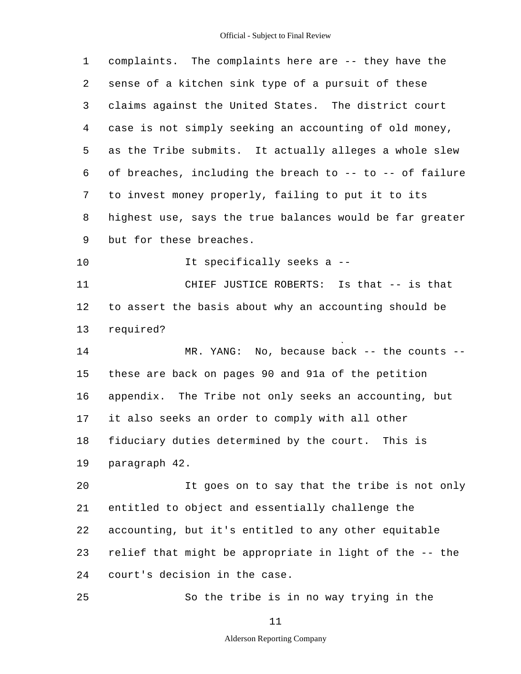| $\mathbf 1$ | complaints. The complaints here are -- they have the     |
|-------------|----------------------------------------------------------|
| 2           | sense of a kitchen sink type of a pursuit of these       |
| 3           | claims against the United States. The district court     |
| 4           | case is not simply seeking an accounting of old money,   |
| 5           | as the Tribe submits. It actually alleges a whole slew   |
| 6           | of breaches, including the breach to -- to -- of failure |
| 7           | to invest money properly, failing to put it to its       |
| 8           | highest use, says the true balances would be far greater |
| 9           | but for these breaches.                                  |
| 10          | It specifically seeks a --                               |
| 11          | CHIEF JUSTICE ROBERTS: Is that -- is that                |
| 12          | to assert the basis about why an accounting should be    |
| 13          | required?                                                |
| 14          | MR. YANG: No, because back -- the counts -               |
| 15          | these are back on pages 90 and 91a of the petition       |
| 16          | appendix. The Tribe not only seeks an accounting, but    |
| 17          | it also seeks an order to comply with all other          |
| 18          | fiduciary duties determined by the court. This is        |
| 19          | paragraph 42.                                            |
| 20          | It goes on to say that the tribe is not only             |
| 21          | entitled to object and essentially challenge the         |
| 22          | accounting, but it's entitled to any other equitable     |
| 23          | relief that might be appropriate in light of the -- the  |
| 24          | court's decision in the case.                            |
| 25          | So the tribe is in no way trying in the                  |
|             |                                                          |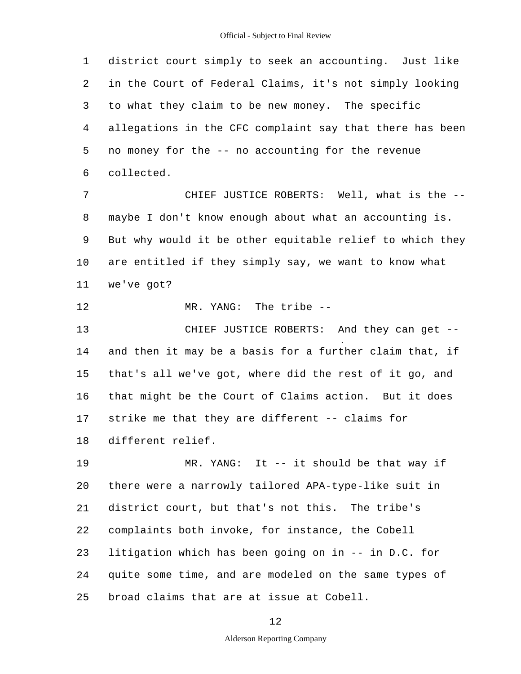1 2 3 4 5 6 district court simply to seek an accounting. Just like in the Court of Federal Claims, it's not simply looking to what they claim to be new money. The specific allegations in the CFC complaint say that there has been no money for the -- no accounting for the revenue collected.

7 8 9 10 11 CHIEF JUSTICE ROBERTS: Well, what is the maybe I don't know enough about what an accounting is. But why would it be other equitable relief to which they are entitled if they simply say, we want to know what we've got?

12 MR. YANG: The tribe -

13 14 15 16 17 18 CHIEF JUSTICE ROBERTS: And they can get and then it may be a basis for a further claim that, if that's all we've got, where did the rest of it go, and that might be the Court of Claims action. But it does strike me that they are different -- claims for different relief.

19 20 21 22 23 24 25 MR. YANG: It -- it should be that way if there were a narrowly tailored APA-type-like suit in district court, but that's not this. The tribe's complaints both invoke, for instance, the Cobell litigation which has been going on in -- in D.C. for quite some time, and are modeled on the same types of broad claims that are at issue at Cobell.

12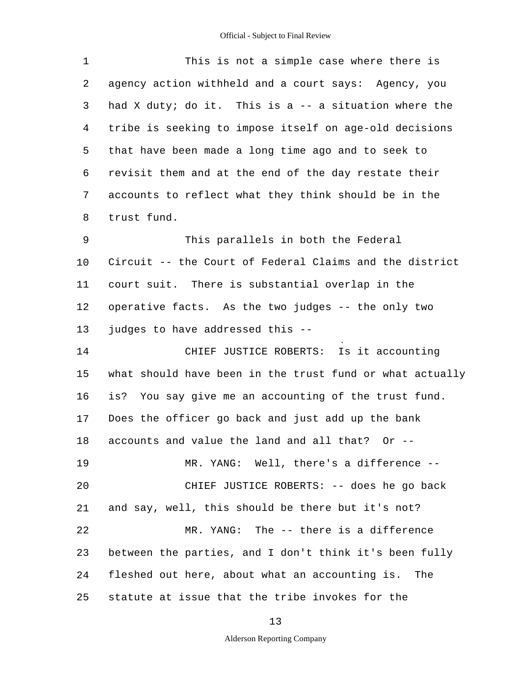| $\mathbf 1$    | This is not a simple case where there is                 |
|----------------|----------------------------------------------------------|
| 2              | agency action withheld and a court says: Agency, you     |
| 3              | had X duty; do it. This is a -- a situation where the    |
| $\overline{4}$ | tribe is seeking to impose itself on age-old decisions   |
| 5              | that have been made a long time ago and to seek to       |
| 6              | revisit them and at the end of the day restate their     |
| 7              | accounts to reflect what they think should be in the     |
| 8              | trust fund.                                              |
| 9              | This parallels in both the Federal                       |
| $10 \,$        | Circuit -- the Court of Federal Claims and the district  |
| 11             | court suit. There is substantial overlap in the          |
| 12             | operative facts. As the two judges -- the only two       |
| 13             | judges to have addressed this --                         |
| 14             | CHIEF JUSTICE ROBERTS: Is it accounting                  |
| 15             | what should have been in the trust fund or what actually |
| 16             | is? You say give me an accounting of the trust fund.     |
| 17             | Does the officer go back and just add up the bank        |
| 18             | accounts and value the land and all that? Or --          |
| 19             | MR. YANG: Well, there's a difference --                  |
| 20             | CHIEF JUSTICE ROBERTS: -- does he go back                |
| 21             | and say, well, this should be there but it's not?        |
| 22             | MR. YANG: The -- there is a difference                   |
| 23             | between the parties, and I don't think it's been fully   |
| 24             | fleshed out here, about what an accounting is. The       |
| 25             | statute at issue that the tribe invokes for the          |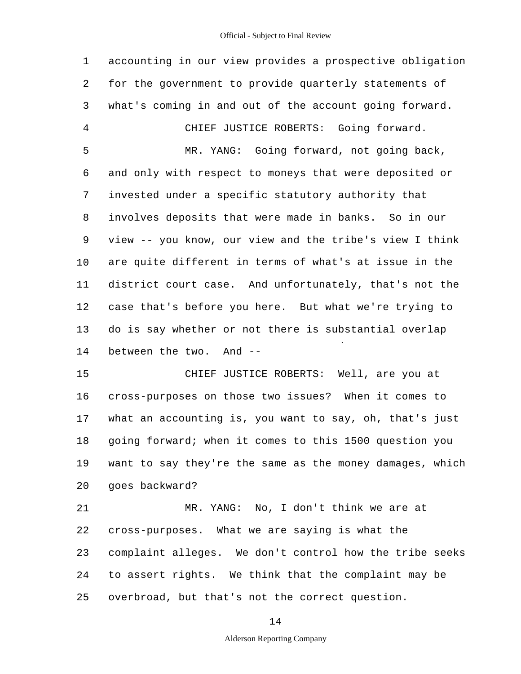1 2 3 4 5 6 7 8 9 10 11 12 13 14 15 16 17 18 19 20 21 22 23 24 25 accounting in our view provides a prospective obligation for the government to provide quarterly statements of what's coming in and out of the account going forward. CHIEF JUSTICE ROBERTS: Going forward. MR. YANG: Going forward, not going back, and only with respect to moneys that were deposited or invested under a specific statutory authority that involves deposits that were made in banks. So in our view -- you know, our view and the tribe's view I think are quite different in terms of what's at issue in the district court case. And unfortunately, that's not the case that's before you here. But what we're trying to do is say whether or not there is substantial overlap between the two. And - CHIEF JUSTICE ROBERTS: Well, are you at cross-purposes on those two issues? When it comes to what an accounting is, you want to say, oh, that's just going forward; when it comes to this 1500 question you want to say they're the same as the money damages, which goes backward? MR. YANG: No, I don't think we are at cross-purposes. What we are saying is what the complaint alleges. We don't control how the tribe seeks to assert rights. We think that the complaint may be overbroad, but that's not the correct question.

14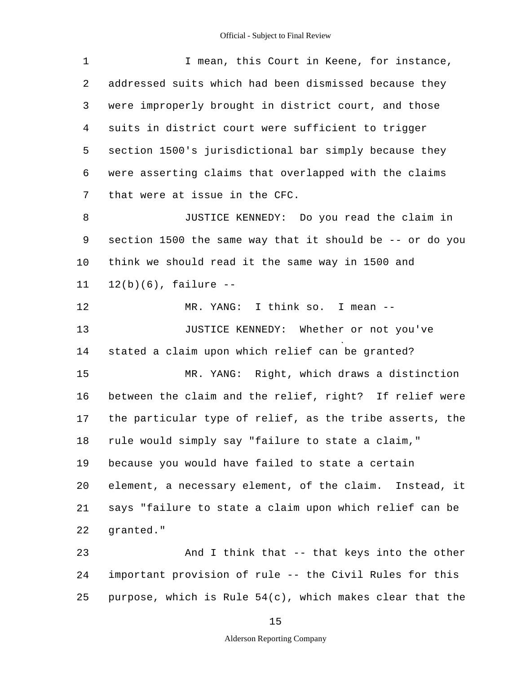| $\mathbf 1$ | I mean, this Court in Keene, for instance,               |  |  |  |  |  |  |
|-------------|----------------------------------------------------------|--|--|--|--|--|--|
| 2           | addressed suits which had been dismissed because they    |  |  |  |  |  |  |
| 3           | were improperly brought in district court, and those     |  |  |  |  |  |  |
| 4           | suits in district court were sufficient to trigger       |  |  |  |  |  |  |
| 5           | section 1500's jurisdictional bar simply because they    |  |  |  |  |  |  |
| 6           | were asserting claims that overlapped with the claims    |  |  |  |  |  |  |
| 7           | that were at issue in the CFC.                           |  |  |  |  |  |  |
| 8           | JUSTICE KENNEDY: Do you read the claim in                |  |  |  |  |  |  |
| 9           | section 1500 the same way that it should be -- or do you |  |  |  |  |  |  |
| 10          | think we should read it the same way in 1500 and         |  |  |  |  |  |  |
| 11          | $12(b)(6)$ , failure --                                  |  |  |  |  |  |  |
| 12          | MR. YANG: I think so. I mean --                          |  |  |  |  |  |  |
| 13          | JUSTICE KENNEDY: Whether or not you've                   |  |  |  |  |  |  |
| 14          | stated a claim upon which relief can be granted?         |  |  |  |  |  |  |
| 15          | MR. YANG: Right, which draws a distinction               |  |  |  |  |  |  |
| 16          | between the claim and the relief, right? If relief were  |  |  |  |  |  |  |
| 17          | the particular type of relief, as the tribe asserts, the |  |  |  |  |  |  |
| 18          | rule would simply say "failure to state a claim,"        |  |  |  |  |  |  |
| 19          | because you would have failed to state a certain         |  |  |  |  |  |  |
| 20          | element, a necessary element, of the claim. Instead, it  |  |  |  |  |  |  |
| 21          | says "failure to state a claim upon which relief can be  |  |  |  |  |  |  |
| 22          | qranted."                                                |  |  |  |  |  |  |
| 23          | And I think that -- that keys into the other             |  |  |  |  |  |  |
| 24          | important provision of rule -- the Civil Rules for this  |  |  |  |  |  |  |
| 25          | purpose, which is Rule 54(c), which makes clear that the |  |  |  |  |  |  |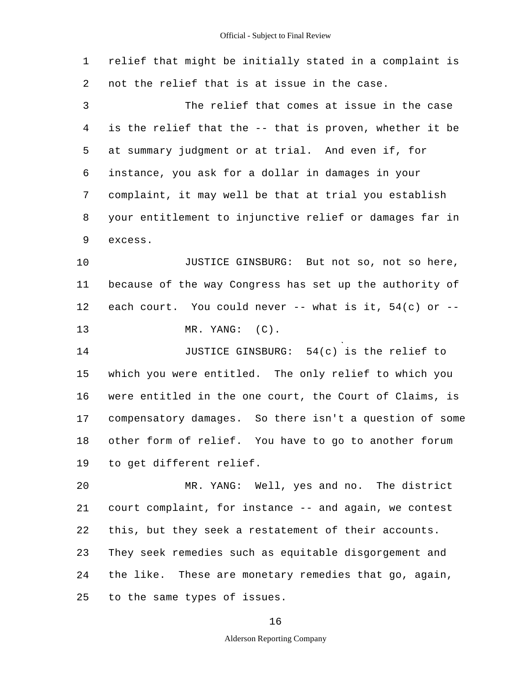| 1  | relief that might be initially stated in a complaint is  |
|----|----------------------------------------------------------|
| 2  | not the relief that is at issue in the case.             |
| 3  | The relief that comes at issue in the case               |
| 4  | is the relief that the -- that is proven, whether it be  |
| 5  | at summary judgment or at trial. And even if, for        |
| 6  | instance, you ask for a dollar in damages in your        |
| 7  | complaint, it may well be that at trial you establish    |
| 8  | your entitlement to injunctive relief or damages far in  |
| 9  | excess.                                                  |
| 10 | JUSTICE GINSBURG: But not so, not so here,               |
| 11 | because of the way Congress has set up the authority of  |
| 12 | each court. You could never -- what is it, $54(c)$ or -- |
| 13 | MR. YANG: (C).                                           |
| 14 | JUSTICE GINSBURG: 54(c) is the relief to                 |
| 15 | which you were entitled. The only relief to which you    |
| 16 | were entitled in the one court, the Court of Claims, is  |
| 17 | compensatory damages. So there isn't a question of some  |
| 18 | other form of relief. You have to go to another forum    |
| 19 | to get different relief.                                 |
| 20 | MR. YANG: Well, yes and no. The district                 |
| 21 | court complaint, for instance -- and again, we contest   |
| 22 | this, but they seek a restatement of their accounts.     |
| 23 | They seek remedies such as equitable disgorgement and    |
| 24 | the like. These are monetary remedies that go, again,    |
| 25 | to the same types of issues.                             |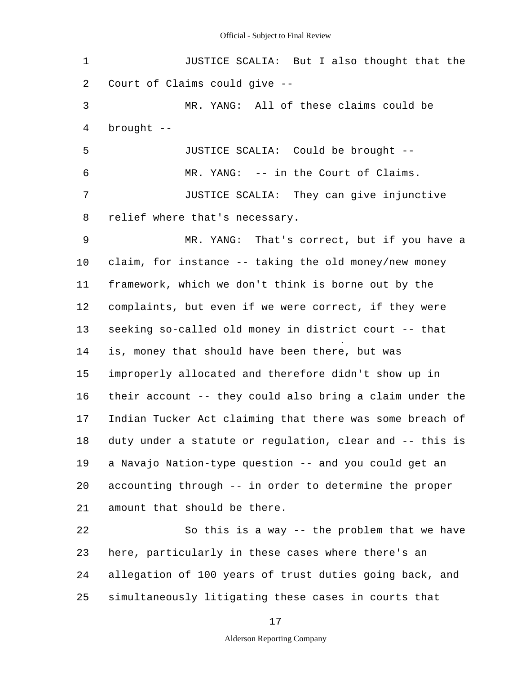| $\mathbf 1$    | JUSTICE SCALIA: But I also thought that the              |  |  |  |  |
|----------------|----------------------------------------------------------|--|--|--|--|
| 2              | Court of Claims could give --                            |  |  |  |  |
| 3              | MR. YANG: All of these claims could be                   |  |  |  |  |
| $\overline{4}$ | brought --                                               |  |  |  |  |
| 5              | JUSTICE SCALIA: Could be brought --                      |  |  |  |  |
| 6              | MR. YANG: -- in the Court of Claims.                     |  |  |  |  |
| 7              | JUSTICE SCALIA: They can give injunctive                 |  |  |  |  |
| 8              | relief where that's necessary.                           |  |  |  |  |
| 9              | MR. YANG: That's correct, but if you have a              |  |  |  |  |
| 10             | claim, for instance -- taking the old money/new money    |  |  |  |  |
| 11             | framework, which we don't think is borne out by the      |  |  |  |  |
| 12             | complaints, but even if we were correct, if they were    |  |  |  |  |
| 13             | seeking so-called old money in district court -- that    |  |  |  |  |
| 14             | is, money that should have been there, but was           |  |  |  |  |
| 15             | improperly allocated and therefore didn't show up in     |  |  |  |  |
| 16             | their account -- they could also bring a claim under the |  |  |  |  |
| 17             | Indian Tucker Act claiming that there was some breach of |  |  |  |  |
| 18             | duty under a statute or regulation, clear and -- this is |  |  |  |  |
| 19             | a Navajo Nation-type question -- and you could get an    |  |  |  |  |
| 20             | accounting through -- in order to determine the proper   |  |  |  |  |
| 21             | amount that should be there.                             |  |  |  |  |
| 22             | So this is a way -- the problem that we have             |  |  |  |  |
| 23             | here, particularly in these cases where there's an       |  |  |  |  |
| 24             | allegation of 100 years of trust duties going back, and  |  |  |  |  |
| 25             | simultaneously litigating these cases in courts that     |  |  |  |  |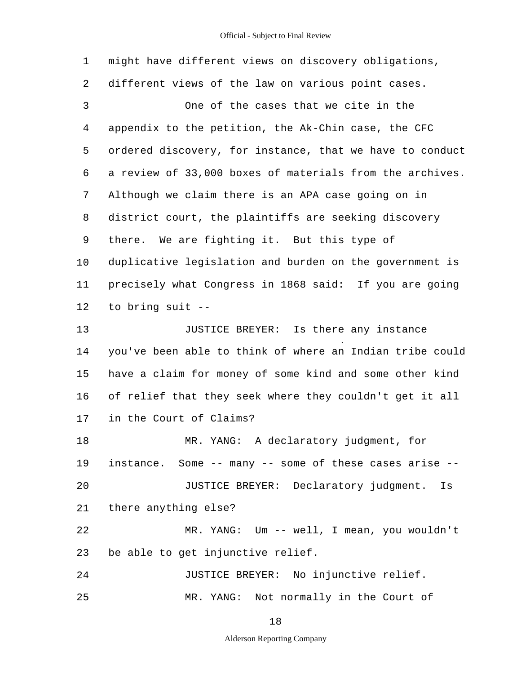1 2 3 4 5 6 7 8 9 10 11 12 13 14 15 16 17 18 19  $20$ 21 22 23 24 25 might have different views on discovery obligations, different views of the law on various point cases. One of the cases that we cite in the appendix to the petition, the Ak-Chin case, the CFC ordered discovery, for instance, that we have to conduct a review of 33,000 boxes of materials from the archives. Although we claim there is an APA case going on in district court, the plaintiffs are seeking discovery there. We are fighting it. But this type of duplicative legislation and burden on the government is precisely what Congress in 1868 said: If you are going to bring suit - JUSTICE BREYER: Is there any instance you've been able to think of where an Indian tribe could have a claim for money of some kind and some other kind of relief that they seek where they couldn't get it all in the Court of Claims? MR. YANG: A declaratory judgment, for instance. Some -- many -- some of these cases arise - JUSTICE BREYER: Declaratory judgment. Is there anything else? MR. YANG: Um -- well, I mean, you wouldn't be able to get injunctive relief. JUSTICE BREYER: No injunctive relief. MR. YANG: Not normally in the Court of

18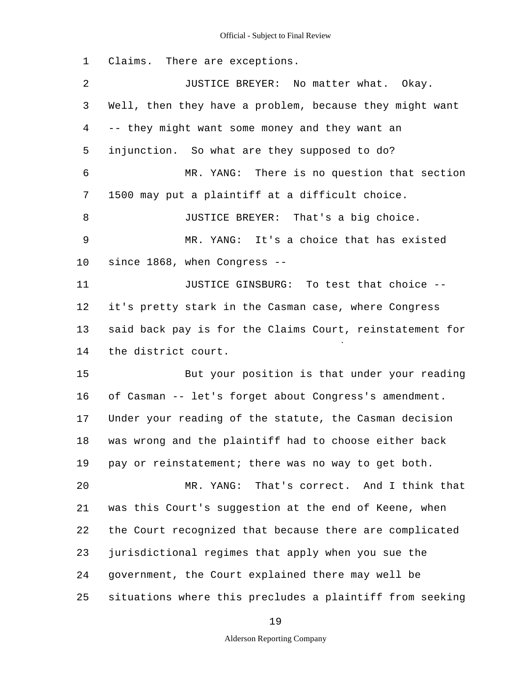1 Claims. There are exceptions.

2 3 4 5 6 7 8 9 10 11 12 13 14 15 16 17 18 19 20 21 22 23 24 25 JUSTICE BREYER: No matter what. Okay. Well, then they have a problem, because they might want -- they might want some money and they want an injunction. So what are they supposed to do? MR. YANG: There is no question that section 1500 may put a plaintiff at a difficult choice. JUSTICE BREYER: That's a big choice. MR. YANG: It's a choice that has existed since 1868, when Congress - JUSTICE GINSBURG: To test that choice it's pretty stark in the Casman case, where Congress said back pay is for the Claims Court, reinstatement for the district court. But your position is that under your reading of Casman -- let's forget about Congress's amendment. Under your reading of the statute, the Casman decision was wrong and the plaintiff had to choose either back pay or reinstatement; there was no way to get both. MR. YANG: That's correct. And I think that was this Court's suggestion at the end of Keene, when the Court recognized that because there are complicated jurisdictional regimes that apply when you sue the government, the Court explained there may well be situations where this precludes a plaintiff from seeking

19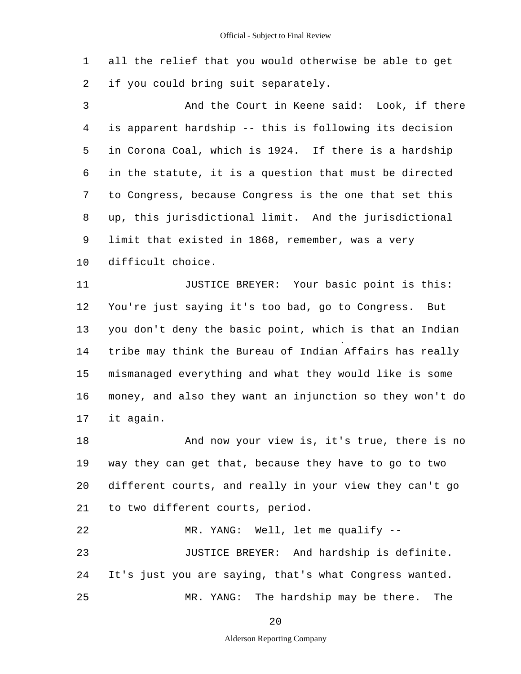1 2 all the relief that you would otherwise be able to get if you could bring suit separately.

3 4 5 6 7 8 9 10 And the Court in Keene said: Look, if there is apparent hardship -- this is following its decision in Corona Coal, which is 1924. If there is a hardship in the statute, it is a question that must be directed to Congress, because Congress is the one that set this up, this jurisdictional limit. And the jurisdictional limit that existed in 1868, remember, was a very difficult choice.

11 12 13 14 15 16 17 JUSTICE BREYER: Your basic point is this: You're just saying it's too bad, go to Congress. But you don't deny the basic point, which is that an Indian tribe may think the Bureau of Indian Affairs has really mismanaged everything and what they would like is some money, and also they want an injunction so they won't do it again.

18 19 20 21 And now your view is, it's true, there is no way they can get that, because they have to go to two different courts, and really in your view they can't go to two different courts, period.

22 MR. YANG: Well, let me qualify --

23 24 25 JUSTICE BREYER: And hardship is definite. It's just you are saying, that's what Congress wanted. MR. YANG: The hardship may be there. The

20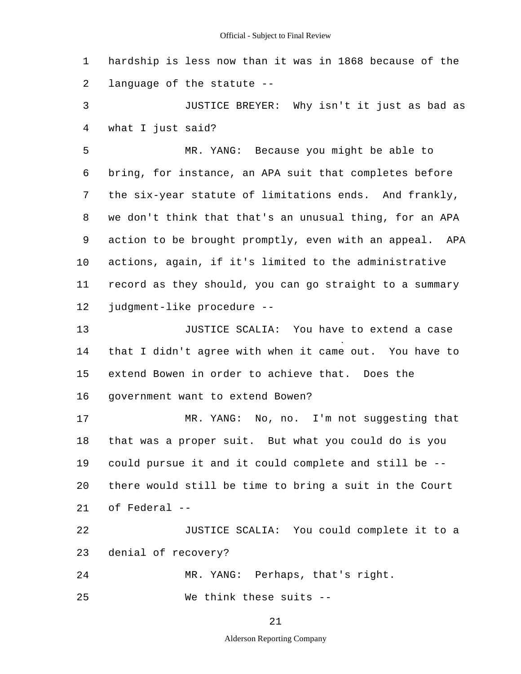1 2 hardship is less now than it was in 1868 because of the language of the statute -

3 4 JUSTICE BREYER: Why isn't it just as bad as what I just said?

5 6 7 8 9 10 11 12 MR. YANG: Because you might be able to bring, for instance, an APA suit that completes before the six-year statute of limitations ends. And frankly, we don't think that that's an unusual thing, for an APA action to be brought promptly, even with an appeal. APA actions, again, if it's limited to the administrative record as they should, you can go straight to a summary judgment-like procedure -

13 14 15 16 JUSTICE SCALIA: You have to extend a case that I didn't agree with when it came out. You have to extend Bowen in order to achieve that. Does the government want to extend Bowen?

17 18 19 20 21 MR. YANG: No, no. I'm not suggesting that that was a proper suit. But what you could do is you could pursue it and it could complete and still be there would still be time to bring a suit in the Court of Federal -

22 23 JUSTICE SCALIA: You could complete it to a denial of recovery?

24 MR. YANG: Perhaps, that's right.

25 We think these suits --

21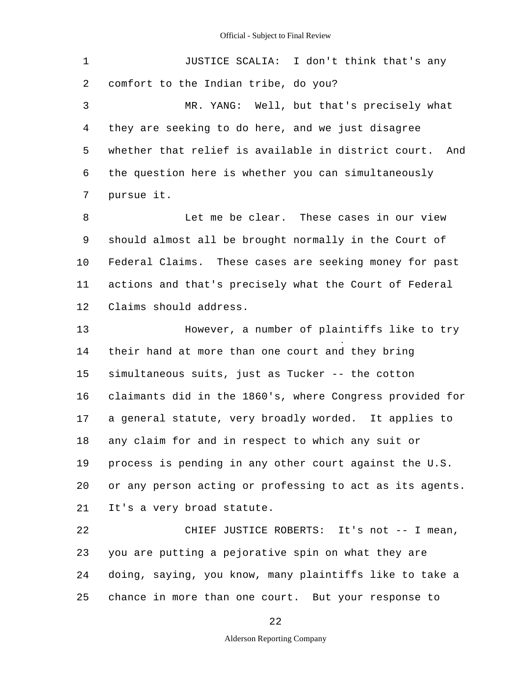| 1       | JUSTICE SCALIA: I don't think that's any                   |
|---------|------------------------------------------------------------|
| 2       | comfort to the Indian tribe, do you?                       |
| 3       | MR. YANG: Well, but that's precisely what                  |
| 4       | they are seeking to do here, and we just disagree          |
| 5       | whether that relief is available in district court.<br>And |
| 6       | the question here is whether you can simultaneously        |
| 7       | pursue it.                                                 |
| 8       | Let me be clear. These cases in our view                   |
| 9       | should almost all be brought normally in the Court of      |
| $10 \,$ | Federal Claims. These cases are seeking money for past     |
| 11      | actions and that's precisely what the Court of Federal     |
| 12      | Claims should address.                                     |
| 13      | However, a number of plaintiffs like to try                |
| 14      | their hand at more than one court and they bring           |
| 15      | simultaneous suits, just as Tucker -- the cotton           |
| 16      | claimants did in the 1860's, where Congress provided for   |
| 17      | a general statute, very broadly worded. It applies to      |
| 18      | any claim for and in respect to which any suit or          |
| 19      | process is pending in any other court against the U.S.     |
| 20      | or any person acting or professing to act as its agents.   |
| 21      | It's a very broad statute.                                 |
| 22      | CHIEF JUSTICE ROBERTS: It's not -- I mean,                 |
| 23      | you are putting a pejorative spin on what they are         |
| 24      | doing, saying, you know, many plaintiffs like to take a    |
|         |                                                            |

25 chance in more than one court. But your response to

22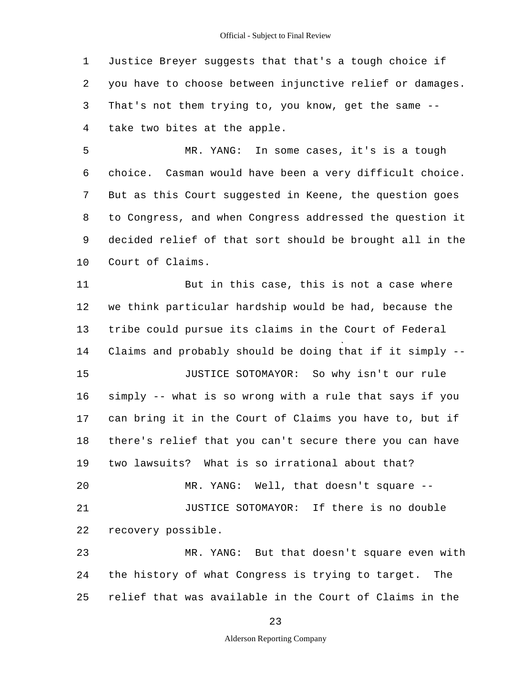1 2 3 4 Justice Breyer suggests that that's a tough choice if you have to choose between injunctive relief or damages. That's not them trying to, you know, get the same -take two bites at the apple.

5 6 7 8 9 10 MR. YANG: In some cases, it's is a tough choice. Casman would have been a very difficult choice. But as this Court suggested in Keene, the question goes to Congress, and when Congress addressed the question it decided relief of that sort should be brought all in the Court of Claims.

11 12 13 14 15 16 17 18 19 20 21 22 23 24 But in this case, this is not a case where we think particular hardship would be had, because the tribe could pursue its claims in the Court of Federal Claims and probably should be doing that if it simply - JUSTICE SOTOMAYOR: So why isn't our rule simply -- what is so wrong with a rule that says if you can bring it in the Court of Claims you have to, but if there's relief that you can't secure there you can have two lawsuits? What is so irrational about that? MR. YANG: Well, that doesn't square - JUSTICE SOTOMAYOR: If there is no double recovery possible. MR. YANG: But that doesn't square even with the history of what Congress is trying to target. The

25 relief that was available in the Court of Claims in the

23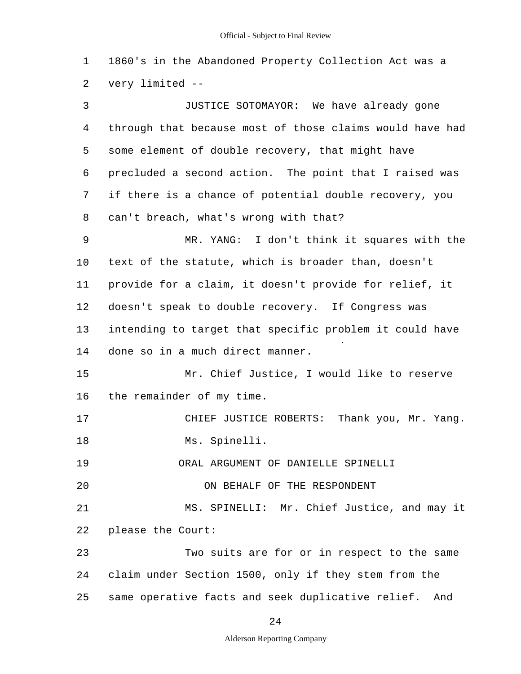1 2 1860's in the Abandoned Property Collection Act was a very limited -

3 4 5 6 7 8 9 10 11 12 13 14 15 16 17 18 19 20 21 22 23 24 25 JUSTICE SOTOMAYOR: We have already gone through that because most of those claims would have had some element of double recovery, that might have precluded a second action. The point that I raised was if there is a chance of potential double recovery, you can't breach, what's wrong with that? MR. YANG: I don't think it squares with the text of the statute, which is broader than, doesn't provide for a claim, it doesn't provide for relief, it doesn't speak to double recovery. If Congress was intending to target that specific problem it could have done so in a much direct manner. Mr. Chief Justice, I would like to reserve the remainder of my time. CHIEF JUSTICE ROBERTS: Thank you, Mr. Yang. Ms. Spinelli. ORAL ARGUMENT OF DANIELLE SPINELLI ON BEHALF OF THE RESPONDENT MS. SPINELLI: Mr. Chief Justice, and may it please the Court: Two suits are for or in respect to the same claim under Section 1500, only if they stem from the same operative facts and seek duplicative relief. And

24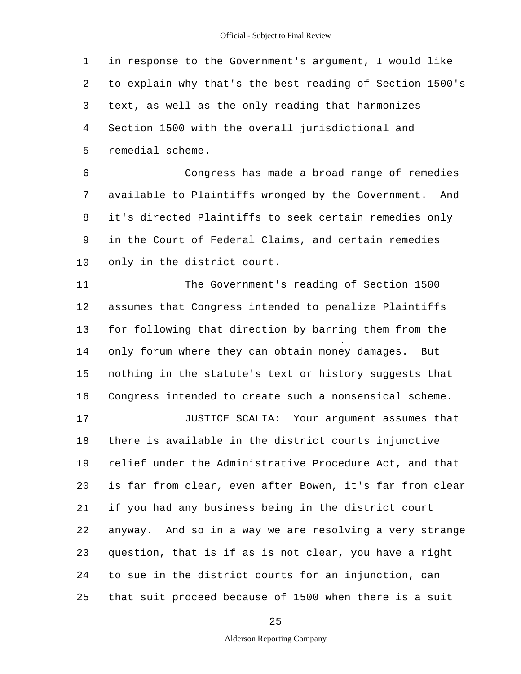1 2 3 4 5 in response to the Government's argument, I would like to explain why that's the best reading of Section 1500's text, as well as the only reading that harmonizes Section 1500 with the overall jurisdictional and remedial scheme.

6 7 8 9 10 Congress has made a broad range of remedies available to Plaintiffs wronged by the Government. And it's directed Plaintiffs to seek certain remedies only in the Court of Federal Claims, and certain remedies only in the district court.

11 12 13 14 15 16 The Government's reading of Section 1500 assumes that Congress intended to penalize Plaintiffs for following that direction by barring them from the only forum where they can obtain money damages. But nothing in the statute's text or history suggests that Congress intended to create such a nonsensical scheme.

17 18 19 20 21 22 23 24 25 JUSTICE SCALIA: Your argument assumes that there is available in the district courts injunctive relief under the Administrative Procedure Act, and that is far from clear, even after Bowen, it's far from clear if you had any business being in the district court anyway. And so in a way we are resolving a very strange question, that is if as is not clear, you have a right to sue in the district courts for an injunction, can that suit proceed because of 1500 when there is a suit

25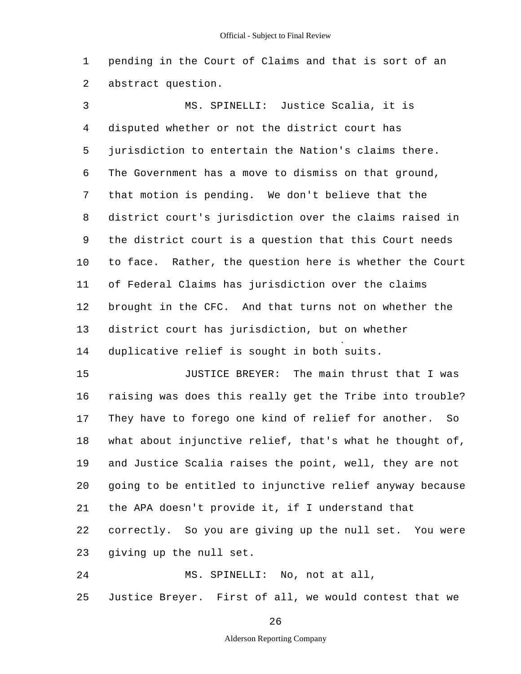1 2 pending in the Court of Claims and that is sort of an abstract question.

3 4 5 6 7 8 9 10 11 12 13 14 MS. SPINELLI: Justice Scalia, it is disputed whether or not the district court has jurisdiction to entertain the Nation's claims there. The Government has a move to dismiss on that ground, that motion is pending. We don't believe that the district court's jurisdiction over the claims raised in the district court is a question that this Court needs to face. Rather, the question here is whether the Court of Federal Claims has jurisdiction over the claims brought in the CFC. And that turns not on whether the district court has jurisdiction, but on whether duplicative relief is sought in both suits.

15 16 17 18 19 20 21 JUSTICE BREYER: The main thrust that I was raising was does this really get the Tribe into trouble? They have to forego one kind of relief for another. So what about injunctive relief, that's what he thought of, and Justice Scalia raises the point, well, they are not going to be entitled to injunctive relief anyway because the APA doesn't provide it, if I understand that

22 23 correctly. So you are giving up the null set. You were giving up the null set.

24 25 MS. SPINELLI: No, not at all, Justice Breyer. First of all, we would contest that we

26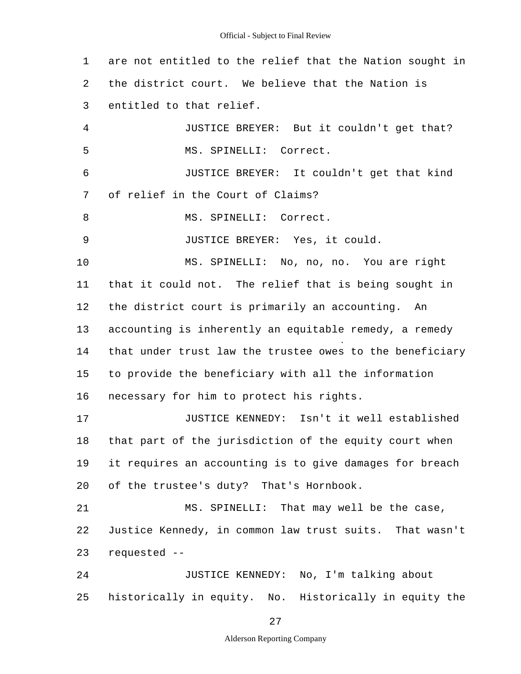1 2 3 4 5 6 7 8 9 10 11 12 13 14 15 16 17 18 19 20 21 22 23 24 25 are not entitled to the relief that the Nation sought in the district court. We believe that the Nation is entitled to that relief. JUSTICE BREYER: But it couldn't get that? MS. SPINELLI: Correct. JUSTICE BREYER: It couldn't get that kind of relief in the Court of Claims? MS. SPINELLI: Correct. JUSTICE BREYER: Yes, it could. MS. SPINELLI: No, no, no. You are right that it could not. The relief that is being sought in the district court is primarily an accounting. An accounting is inherently an equitable remedy, a remedy that under trust law the trustee owes to the beneficiary to provide the beneficiary with all the information necessary for him to protect his rights. JUSTICE KENNEDY: Isn't it well established that part of the jurisdiction of the equity court when it requires an accounting is to give damages for breach of the trustee's duty? That's Hornbook. MS. SPINELLI: That may well be the case, Justice Kennedy, in common law trust suits. That wasn't requested - JUSTICE KENNEDY: No, I'm talking about historically in equity. No. Historically in equity the

27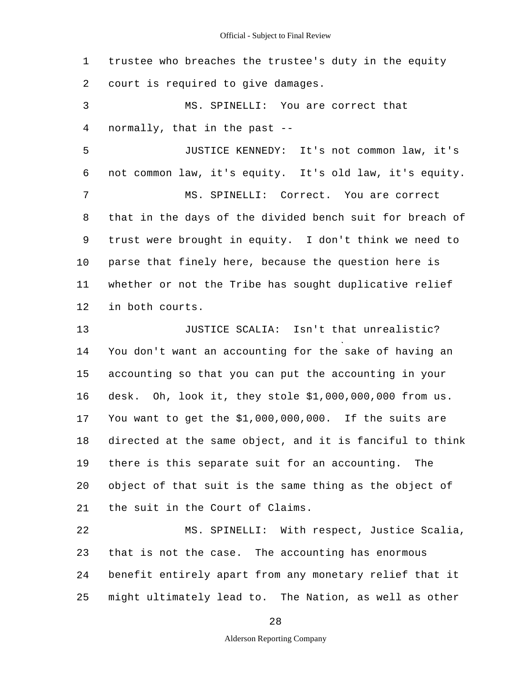| $\mathbf 1$ | trustee who breaches the trustee's duty in the equity    |  |  |  |  |  |
|-------------|----------------------------------------------------------|--|--|--|--|--|
| 2           | court is required to give damages.                       |  |  |  |  |  |
| 3           | MS. SPINELLI: You are correct that                       |  |  |  |  |  |
| 4           | normally, that in the past --                            |  |  |  |  |  |
| 5           | JUSTICE KENNEDY: It's not common law, it's               |  |  |  |  |  |
| 6           | not common law, it's equity. It's old law, it's equity.  |  |  |  |  |  |
| 7           | MS. SPINELLI: Correct. You are correct                   |  |  |  |  |  |
| 8           | that in the days of the divided bench suit for breach of |  |  |  |  |  |
| 9           | trust were brought in equity. I don't think we need to   |  |  |  |  |  |
| 10          | parse that finely here, because the question here is     |  |  |  |  |  |
| 11          | whether or not the Tribe has sought duplicative relief   |  |  |  |  |  |
| 12          | in both courts.                                          |  |  |  |  |  |
| 13          | JUSTICE SCALIA: Isn't that unrealistic?                  |  |  |  |  |  |
| 14          | You don't want an accounting for the sake of having an   |  |  |  |  |  |
| 15          | accounting so that you can put the accounting in your    |  |  |  |  |  |
| 16          | desk. Oh, look it, they stole \$1,000,000,000 from us.   |  |  |  |  |  |
| 17          | You want to get the \$1,000,000,000. If the suits are    |  |  |  |  |  |
| 18          | directed at the same object, and it is fanciful to think |  |  |  |  |  |
| 19          | there is this separate suit for an accounting.<br>The    |  |  |  |  |  |
| 20          | object of that suit is the same thing as the object of   |  |  |  |  |  |
| 21          | the suit in the Court of Claims.                         |  |  |  |  |  |
| 22          | MS. SPINELLI: With respect, Justice Scalia,              |  |  |  |  |  |
| 23          | that is not the case. The accounting has enormous        |  |  |  |  |  |

24 25 benefit entirely apart from any monetary relief that it might ultimately lead to. The Nation, as well as other

28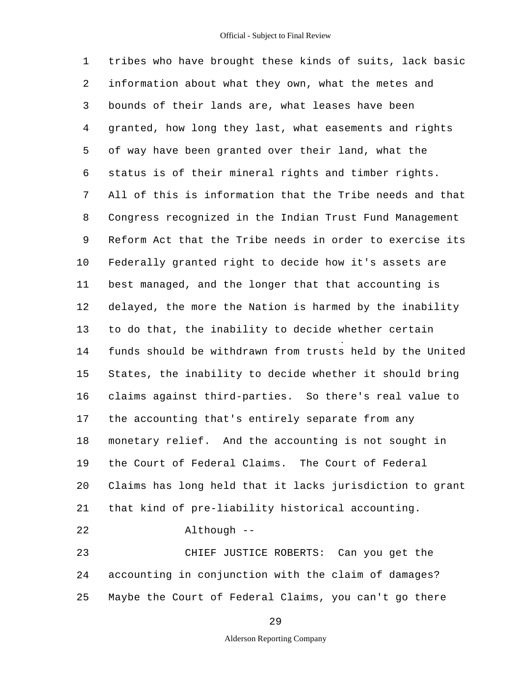1 2 3 4 5 6 7 8 9 10 11 12 13 14 15 16 17 18 19 20 21 22 23 24 tribes who have brought these kinds of suits, lack basic information about what they own, what the metes and bounds of their lands are, what leases have been granted, how long they last, what easements and rights of way have been granted over their land, what the status is of their mineral rights and timber rights. All of this is information that the Tribe needs and that Congress recognized in the Indian Trust Fund Management Reform Act that the Tribe needs in order to exercise its Federally granted right to decide how it's assets are best managed, and the longer that that accounting is delayed, the more the Nation is harmed by the inability to do that, the inability to decide whether certain funds should be withdrawn from trusts held by the United States, the inability to decide whether it should bring claims against third-parties. So there's real value to the accounting that's entirely separate from any monetary relief. And the accounting is not sought in the Court of Federal Claims. The Court of Federal Claims has long held that it lacks jurisdiction to grant that kind of pre-liability historical accounting. Although - CHIEF JUSTICE ROBERTS: Can you get the accounting in conjunction with the claim of damages?

25 Maybe the Court of Federal Claims, you can't go there

29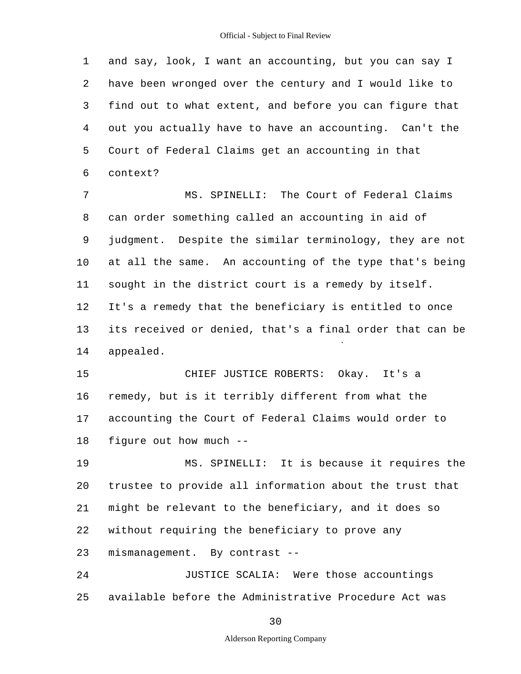1 2 3 4 5 6 and say, look, I want an accounting, but you can say I have been wronged over the century and I would like to find out to what extent, and before you can figure that out you actually have to have an accounting. Can't the Court of Federal Claims get an accounting in that context?

7 8 9 10 11 12 13 14 MS. SPINELLI: The Court of Federal Claims can order something called an accounting in aid of judgment. Despite the similar terminology, they are not at all the same. An accounting of the type that's being sought in the district court is a remedy by itself. It's a remedy that the beneficiary is entitled to once its received or denied, that's a final order that can be appealed.

15 16 17 18 CHIEF JUSTICE ROBERTS: Okay. It's a remedy, but is it terribly different from what the accounting the Court of Federal Claims would order to figure out how much -

19 20 21 22 23 MS. SPINELLI: It is because it requires the trustee to provide all information about the trust that might be relevant to the beneficiary, and it does so without requiring the beneficiary to prove any mismanagement. By contrast -

24 25 JUSTICE SCALIA: Were those accountings available before the Administrative Procedure Act was

30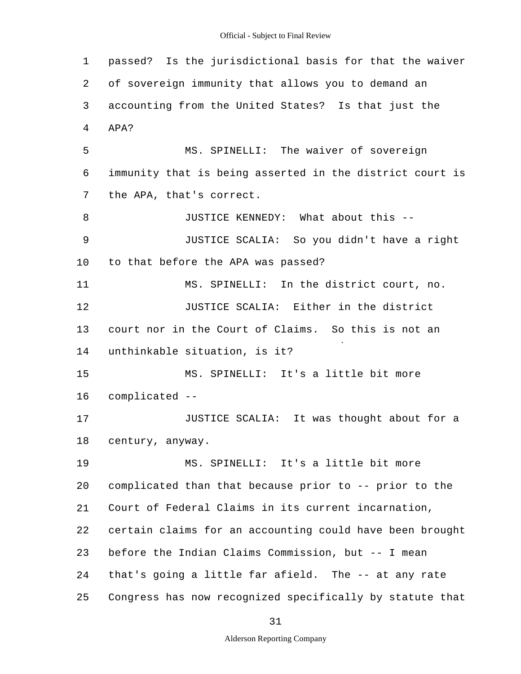1 2 3 4 5 6 7 8 9 10 11 12 13 14 15 16 17 18 19 20 21 22 23 24 25 passed? Is the jurisdictional basis for that the waiver of sovereign immunity that allows you to demand an accounting from the United States? Is that just the APA? MS. SPINELLI: The waiver of sovereign immunity that is being asserted in the district court is the APA, that's correct. JUSTICE KENNEDY: What about this - JUSTICE SCALIA: So you didn't have a right to that before the APA was passed? MS. SPINELLI: In the district court, no. JUSTICE SCALIA: Either in the district court nor in the Court of Claims. So this is not an unthinkable situation, is it? MS. SPINELLI: It's a little bit more complicated - JUSTICE SCALIA: It was thought about for a century, anyway. MS. SPINELLI: It's a little bit more complicated than that because prior to -- prior to the Court of Federal Claims in its current incarnation, certain claims for an accounting could have been brought before the Indian Claims Commission, but -- I mean that's going a little far afield. The -- at any rate Congress has now recognized specifically by statute that

31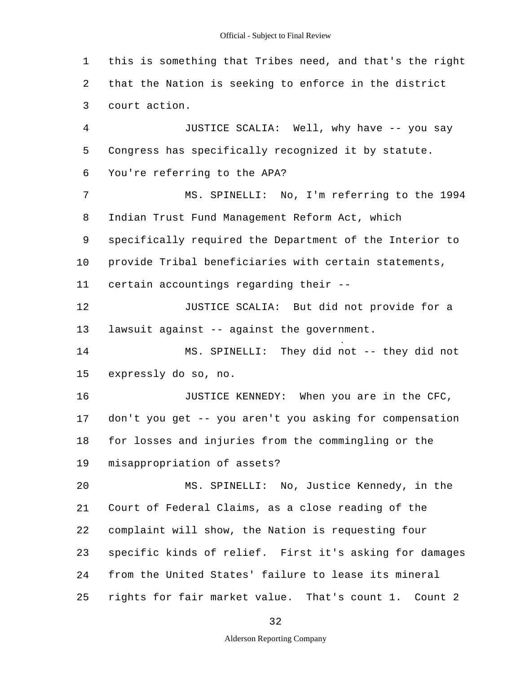1 2 3 4 5 6 7 8 9 10 11 12 13 14 15 16 17 18 19  $20$ 21 22 23 24 25 this is something that Tribes need, and that's the right that the Nation is seeking to enforce in the district court action. JUSTICE SCALIA: Well, why have -- you say Congress has specifically recognized it by statute. You're referring to the APA? MS. SPINELLI: No, I'm referring to the 1994 Indian Trust Fund Management Reform Act, which specifically required the Department of the Interior to provide Tribal beneficiaries with certain statements, certain accountings regarding their - JUSTICE SCALIA: But did not provide for a lawsuit against -- against the government. MS. SPINELLI: They did not -- they did not expressly do so, no. JUSTICE KENNEDY: When you are in the CFC, don't you get -- you aren't you asking for compensation for losses and injuries from the commingling or the misappropriation of assets? MS. SPINELLI: No, Justice Kennedy, in the Court of Federal Claims, as a close reading of the complaint will show, the Nation is requesting four specific kinds of relief. First it's asking for damages from the United States' failure to lease its mineral rights for fair market value. That's count 1. Count 2

32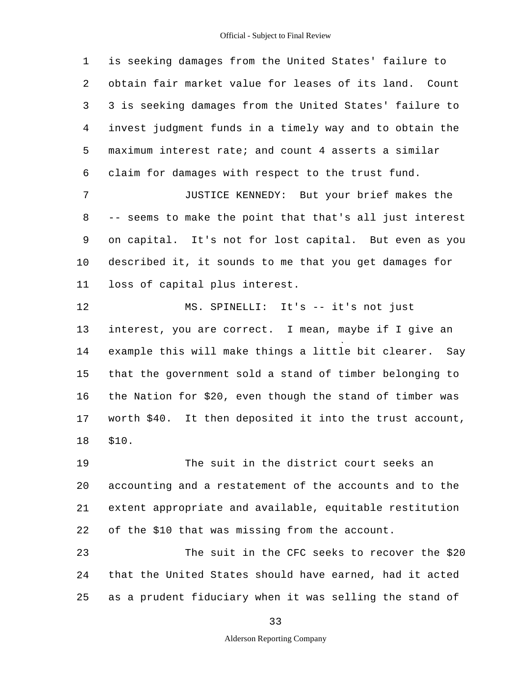1 2 3 4 5 6 is seeking damages from the United States' failure to obtain fair market value for leases of its land. Count 3 is seeking damages from the United States' failure to invest judgment funds in a timely way and to obtain the maximum interest rate; and count 4 asserts a similar claim for damages with respect to the trust fund.

7 8 9 10 11 JUSTICE KENNEDY: But your brief makes the -- seems to make the point that that's all just interest on capital. It's not for lost capital. But even as you described it, it sounds to me that you get damages for loss of capital plus interest.

12 13 14 15 16 17 18 MS. SPINELLI: It's -- it's not just interest, you are correct. I mean, maybe if I give an example this will make things a little bit clearer. Say that the government sold a stand of timber belonging to the Nation for \$20, even though the stand of timber was worth \$40. It then deposited it into the trust account, \$10.

19 20 21 22 The suit in the district court seeks an accounting and a restatement of the accounts and to the extent appropriate and available, equitable restitution of the \$10 that was missing from the account.

23 24 25 The suit in the CFC seeks to recover the \$20 that the United States should have earned, had it acted as a prudent fiduciary when it was selling the stand of

33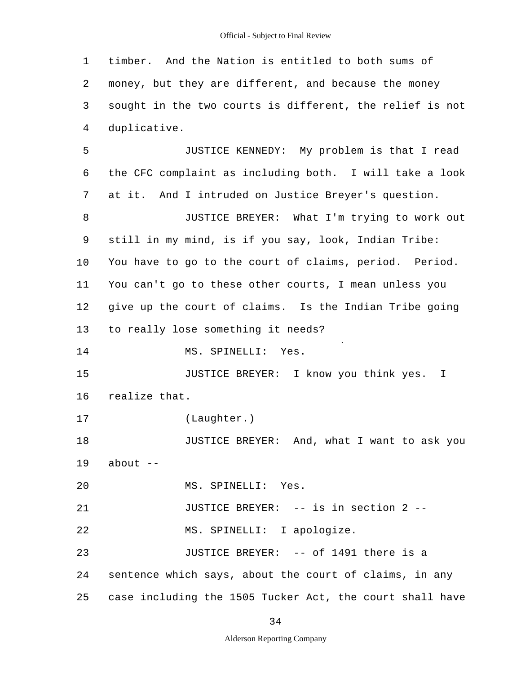1 2 3 4 5 6 7 8 9 10 11 12 13 14 15 16 17 18 19  $20$ 21 22 23 24 25 timber. And the Nation is entitled to both sums of money, but they are different, and because the money sought in the two courts is different, the relief is not duplicative. JUSTICE KENNEDY: My problem is that I read the CFC complaint as including both. I will take a look at it. And I intruded on Justice Breyer's question. JUSTICE BREYER: What I'm trying to work out still in my mind, is if you say, look, Indian Tribe: You have to go to the court of claims, period. Period. You can't go to these other courts, I mean unless you give up the court of claims. Is the Indian Tribe going to really lose something it needs? MS. SPINELLI: Yes. JUSTICE BREYER: I know you think yes. I realize that. (Laughter.) JUSTICE BREYER: And, what I want to ask you about  $--$ MS. SPINELLI: Yes. JUSTICE BREYER: -- is in section 2 - MS. SPINELLI: I apologize. JUSTICE BREYER: -- of 1491 there is a sentence which says, about the court of claims, in any case including the 1505 Tucker Act, the court shall have

34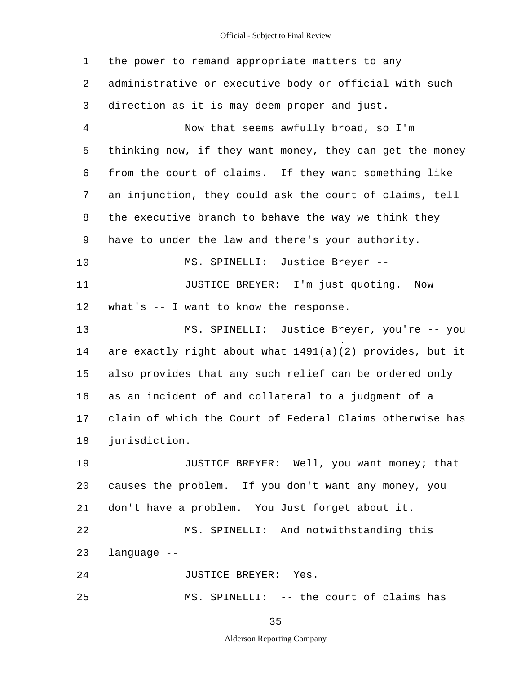1 2 3 4 5 6 7 8 9 10 11 12 13 14 15 16 17 18 19 20 21 22 23 24 25 the power to remand appropriate matters to any administrative or executive body or official with such direction as it is may deem proper and just. Now that seems awfully broad, so I'm thinking now, if they want money, they can get the money from the court of claims. If they want something like an injunction, they could ask the court of claims, tell the executive branch to behave the way we think they have to under the law and there's your authority. MS. SPINELLI: Justice Breyer - JUSTICE BREYER: I'm just quoting. Now what's -- I want to know the response. MS. SPINELLI: Justice Breyer, you're -- you are exactly right about what 1491(a)(2) provides, but it also provides that any such relief can be ordered only as an incident of and collateral to a judgment of a claim of which the Court of Federal Claims otherwise has jurisdiction. JUSTICE BREYER: Well, you want money; that causes the problem. If you don't want any money, you don't have a problem. You Just forget about it. MS. SPINELLI: And notwithstanding this language - JUSTICE BREYER: Yes. MS. SPINELLI: -- the court of claims has

35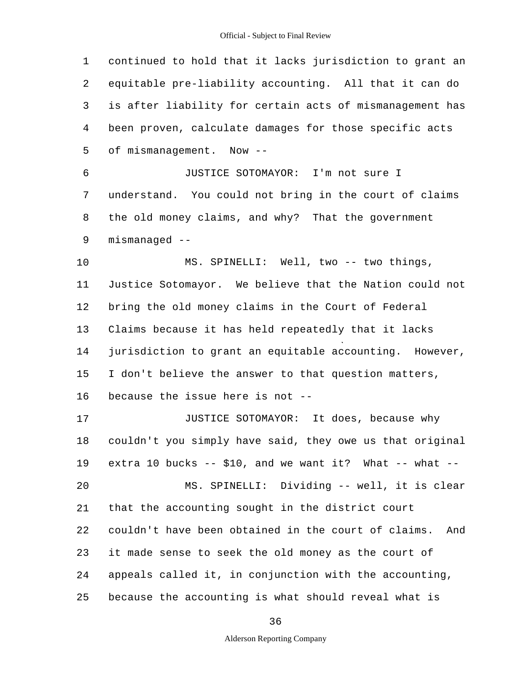1 2 3 4 5 6 7 8 9 10 11 12 13 14 15 16 17 18 19 20 21 22 23 24 25 continued to hold that it lacks jurisdiction to grant an equitable pre-liability accounting. All that it can do is after liability for certain acts of mismanagement has been proven, calculate damages for those specific acts of mismanagement. Now - JUSTICE SOTOMAYOR: I'm not sure I understand. You could not bring in the court of claims the old money claims, and why? That the government mismanaged - MS. SPINELLI: Well, two -- two things, Justice Sotomayor. We believe that the Nation could not bring the old money claims in the Court of Federal Claims because it has held repeatedly that it lacks jurisdiction to grant an equitable accounting. However, I don't believe the answer to that question matters, because the issue here is not - JUSTICE SOTOMAYOR: It does, because why couldn't you simply have said, they owe us that original extra 10 bucks  $- - $10$ , and we want it? What  $- -$  what  $- -$ MS. SPINELLI: Dividing -- well, it is clear that the accounting sought in the district court couldn't have been obtained in the court of claims. And it made sense to seek the old money as the court of appeals called it, in conjunction with the accounting, because the accounting is what should reveal what is

36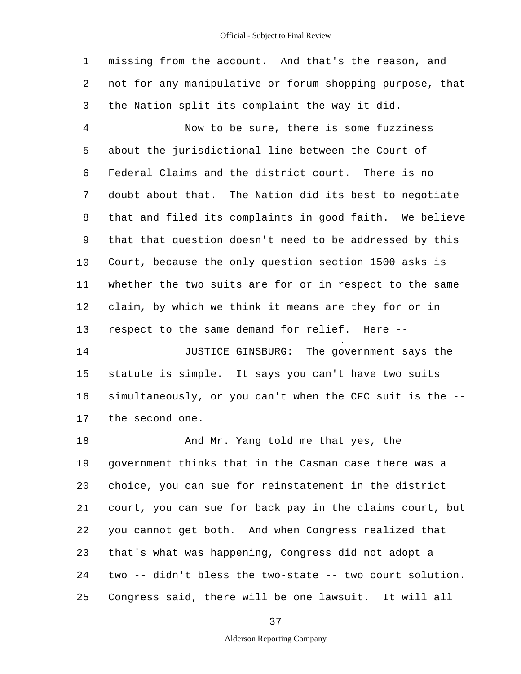1 2 3 missing from the account. And that's the reason, and not for any manipulative or forum-shopping purpose, that the Nation split its complaint the way it did.

4 5 6 7 8 9 10 11 12 13 Now to be sure, there is some fuzziness about the jurisdictional line between the Court of Federal Claims and the district court. There is no doubt about that. The Nation did its best to negotiate that and filed its complaints in good faith. We believe that that question doesn't need to be addressed by this Court, because the only question section 1500 asks is whether the two suits are for or in respect to the same claim, by which we think it means are they for or in respect to the same demand for relief. Here -

14 15 16 17 JUSTICE GINSBURG: The government says the statute is simple. It says you can't have two suits simultaneously, or you can't when the CFC suit is the the second one.

18 19 20 21 22 23 24 25 And Mr. Yang told me that yes, the government thinks that in the Casman case there was a choice, you can sue for reinstatement in the district court, you can sue for back pay in the claims court, but you cannot get both. And when Congress realized that that's what was happening, Congress did not adopt a two -- didn't bless the two-state -- two court solution. Congress said, there will be one lawsuit. It will all

37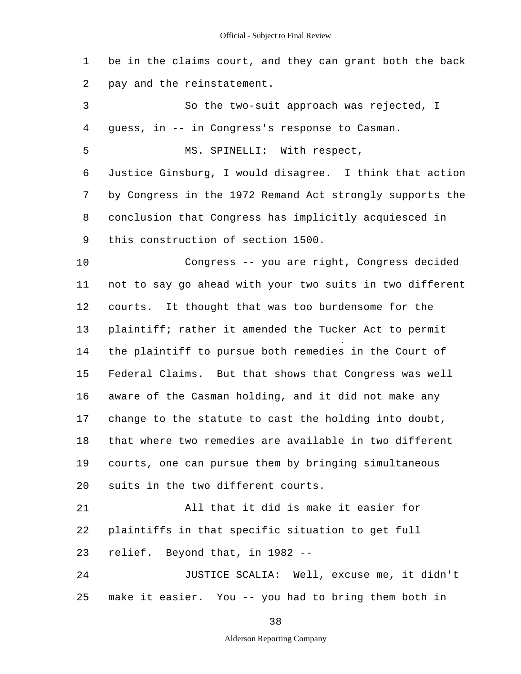1 2 be in the claims court, and they can grant both the back pay and the reinstatement.

3 4 5 6 7 8 9 10 11 12 13 14 15 16 17 18 19 20 21 22 23 24 So the two-suit approach was rejected, I guess, in -- in Congress's response to Casman. MS. SPINELLI: With respect, Justice Ginsburg, I would disagree. I think that action by Congress in the 1972 Remand Act strongly supports the conclusion that Congress has implicitly acquiesced in this construction of section 1500. Congress -- you are right, Congress decided not to say go ahead with your two suits in two different courts. It thought that was too burdensome for the plaintiff; rather it amended the Tucker Act to permit the plaintiff to pursue both remedies in the Court of Federal Claims. But that shows that Congress was well aware of the Casman holding, and it did not make any change to the statute to cast the holding into doubt, that where two remedies are available in two different courts, one can pursue them by bringing simultaneous suits in the two different courts. All that it did is make it easier for plaintiffs in that specific situation to get full relief. Beyond that, in 1982 - JUSTICE SCALIA: Well, excuse me, it didn't

25 make it easier. You -- you had to bring them both in

38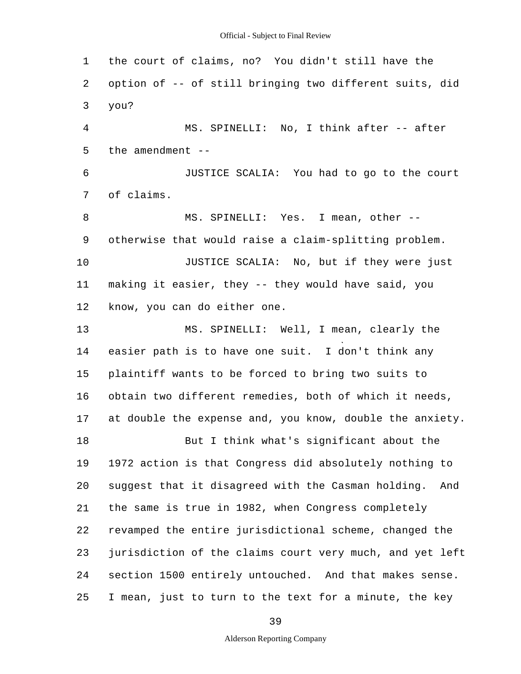1 2 3 4 5 6 7 8 9 10 11 12 13 14 15 16 17 18 19 20 21 22 23 24 25 the court of claims, no? You didn't still have the option of -- of still bringing two different suits, did you? MS. SPINELLI: No, I think after -- after the amendment  $-$ JUSTICE SCALIA: You had to go to the court of claims. MS. SPINELLI: Yes. I mean, other -otherwise that would raise a claim-splitting problem. JUSTICE SCALIA: No, but if they were just making it easier, they -- they would have said, you know, you can do either one. MS. SPINELLI: Well, I mean, clearly the easier path is to have one suit. I don't think any plaintiff wants to be forced to bring two suits to obtain two different remedies, both of which it needs, at double the expense and, you know, double the anxiety. But I think what's significant about the 1972 action is that Congress did absolutely nothing to suggest that it disagreed with the Casman holding. And the same is true in 1982, when Congress completely revamped the entire jurisdictional scheme, changed the jurisdiction of the claims court very much, and yet left section 1500 entirely untouched. And that makes sense. I mean, just to turn to the text for a minute, the key

39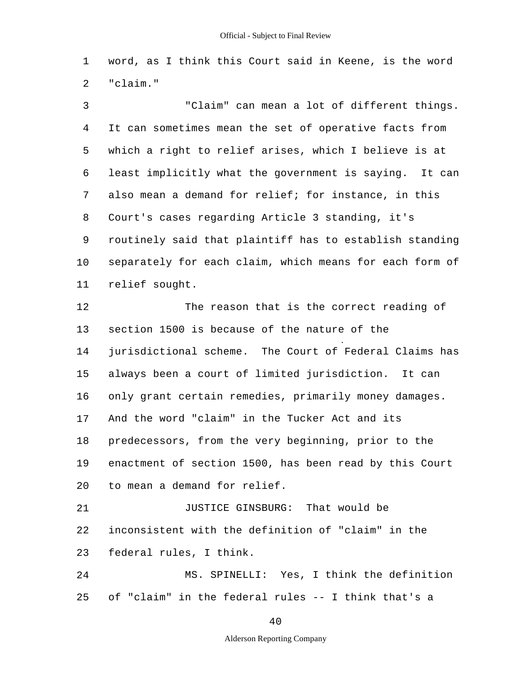1 2 word, as I think this Court said in Keene, is the word "claim."

3 4 5 6 7 8 9 10 11 12 13 14 15 16 17 18 19 20 21 22 23 24 "Claim" can mean a lot of different things. It can sometimes mean the set of operative facts from which a right to relief arises, which I believe is at least implicitly what the government is saying. It can also mean a demand for relief; for instance, in this Court's cases regarding Article 3 standing, it's routinely said that plaintiff has to establish standing separately for each claim, which means for each form of relief sought. The reason that is the correct reading of section 1500 is because of the nature of the jurisdictional scheme. The Court of Federal Claims has always been a court of limited jurisdiction. It can only grant certain remedies, primarily money damages. And the word "claim" in the Tucker Act and its predecessors, from the very beginning, prior to the enactment of section 1500, has been read by this Court to mean a demand for relief. JUSTICE GINSBURG: That would be inconsistent with the definition of "claim" in the federal rules, I think. MS. SPINELLI: Yes, I think the definition

25 of "claim" in the federal rules -- I think that's a

40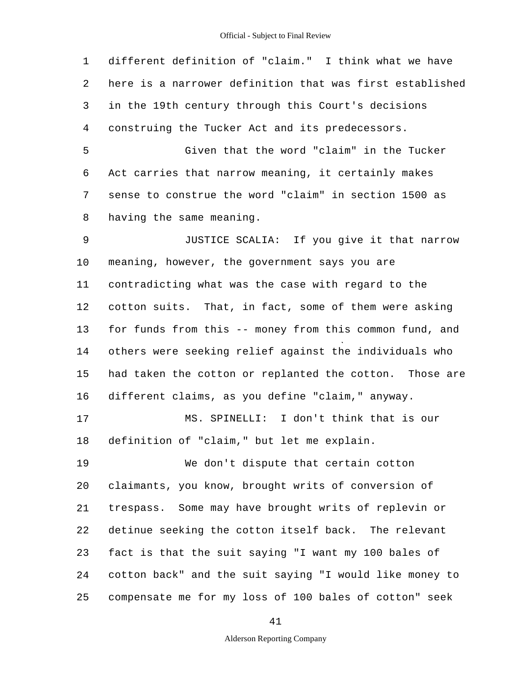1 2 3 4 different definition of "claim." I think what we have here is a narrower definition that was first established in the 19th century through this Court's decisions construing the Tucker Act and its predecessors.

5 6 7 8 Given that the word "claim" in the Tucker Act carries that narrow meaning, it certainly makes sense to construe the word "claim" in section 1500 as having the same meaning.

9 10 11 12 13 14 15 16 JUSTICE SCALIA: If you give it that narrow meaning, however, the government says you are contradicting what was the case with regard to the cotton suits. That, in fact, some of them were asking for funds from this -- money from this common fund, and others were seeking relief against the individuals who had taken the cotton or replanted the cotton. Those are different claims, as you define "claim," anyway.

17 18 MS. SPINELLI: I don't think that is our definition of "claim," but let me explain.

19 20 21 22 23 24 25 We don't dispute that certain cotton claimants, you know, brought writs of conversion of trespass. Some may have brought writs of replevin or detinue seeking the cotton itself back. The relevant fact is that the suit saying "I want my 100 bales of cotton back" and the suit saying "I would like money to compensate me for my loss of 100 bales of cotton" seek

41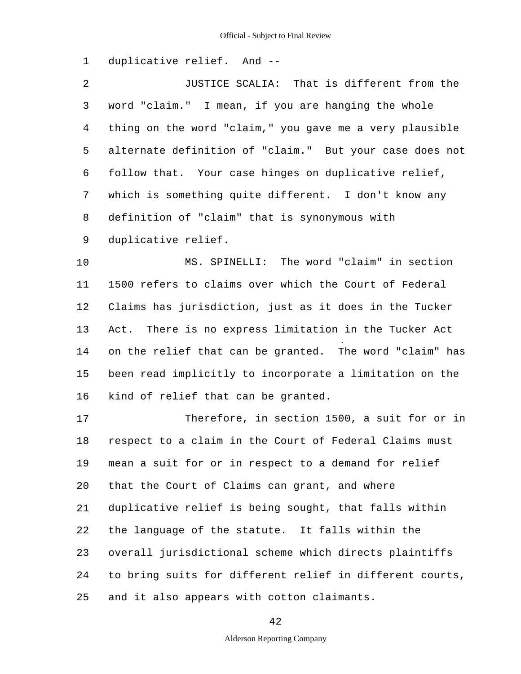1 duplicative relief. And -

2 3 4 5 6 7 8 9 JUSTICE SCALIA: That is different from the word "claim." I mean, if you are hanging the whole thing on the word "claim," you gave me a very plausible alternate definition of "claim." But your case does not follow that. Your case hinges on duplicative relief, which is something quite different. I don't know any definition of "claim" that is synonymous with duplicative relief.

10 11 12 13 14 15 16 MS. SPINELLI: The word "claim" in section 1500 refers to claims over which the Court of Federal Claims has jurisdiction, just as it does in the Tucker Act. There is no express limitation in the Tucker Act on the relief that can be granted. The word "claim" has been read implicitly to incorporate a limitation on the kind of relief that can be granted.

17 18 19 20 21 22 23 24 25 Therefore, in section 1500, a suit for or in respect to a claim in the Court of Federal Claims must mean a suit for or in respect to a demand for relief that the Court of Claims can grant, and where duplicative relief is being sought, that falls within the language of the statute. It falls within the overall jurisdictional scheme which directs plaintiffs to bring suits for different relief in different courts, and it also appears with cotton claimants.

42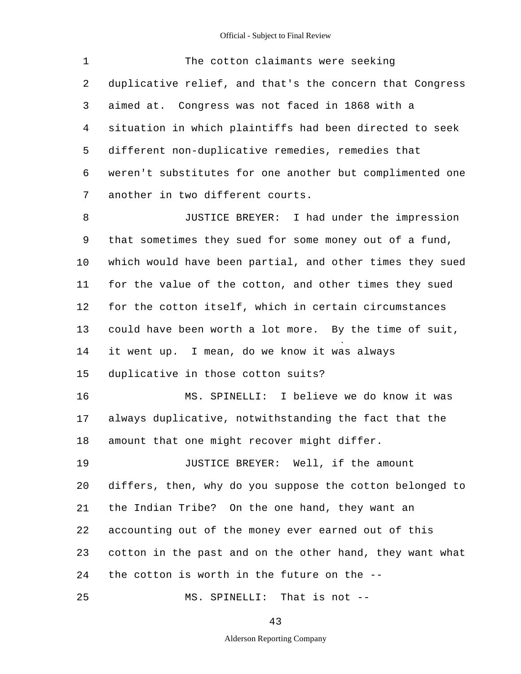1 2 3 4 5 6 7 8 9 10 11 12 13 14 15 16 17 18 19 The cotton claimants were seeking duplicative relief, and that's the concern that Congress aimed at. Congress was not faced in 1868 with a situation in which plaintiffs had been directed to seek different non-duplicative remedies, remedies that weren't substitutes for one another but complimented one another in two different courts. JUSTICE BREYER: I had under the impression that sometimes they sued for some money out of a fund, which would have been partial, and other times they sued for the value of the cotton, and other times they sued for the cotton itself, which in certain circumstances could have been worth a lot more. By the time of suit, it went up. I mean, do we know it was always duplicative in those cotton suits? MS. SPINELLI: I believe we do know it was always duplicative, notwithstanding the fact that the amount that one might recover might differ. JUSTICE BREYER: Well, if the amount

20 21 22 23 24 25 differs, then, why do you suppose the cotton belonged to the Indian Tribe? On the one hand, they want an accounting out of the money ever earned out of this cotton in the past and on the other hand, they want what the cotton is worth in the future on the - MS. SPINELLI: That is not -

43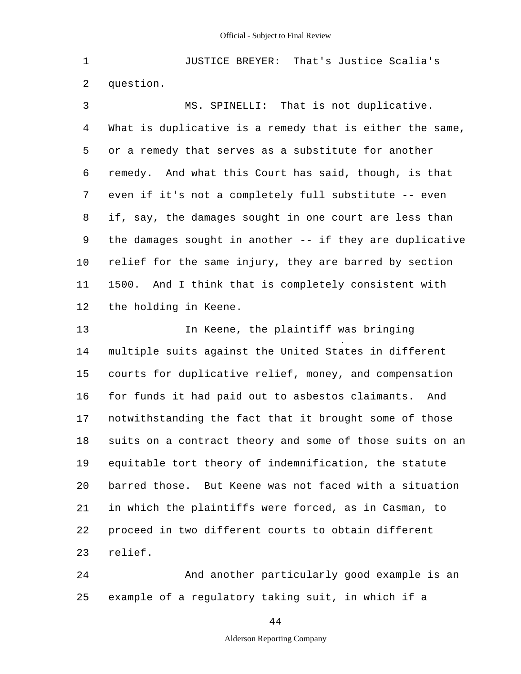1 2 JUSTICE BREYER: That's Justice Scalia's question.

3 4 5 6 7 8 9 10 11 12 MS. SPINELLI: That is not duplicative. What is duplicative is a remedy that is either the same, or a remedy that serves as a substitute for another remedy. And what this Court has said, though, is that even if it's not a completely full substitute -- even if, say, the damages sought in one court are less than the damages sought in another -- if they are duplicative relief for the same injury, they are barred by section 1500. And I think that is completely consistent with the holding in Keene.

13 14 15 16 17 18 19 20 21 22 23 In Keene, the plaintiff was bringing multiple suits against the United States in different courts for duplicative relief, money, and compensation for funds it had paid out to asbestos claimants. And notwithstanding the fact that it brought some of those suits on a contract theory and some of those suits on an equitable tort theory of indemnification, the statute barred those. But Keene was not faced with a situation in which the plaintiffs were forced, as in Casman, to proceed in two different courts to obtain different relief.

24 25 And another particularly good example is an example of a regulatory taking suit, in which if a

44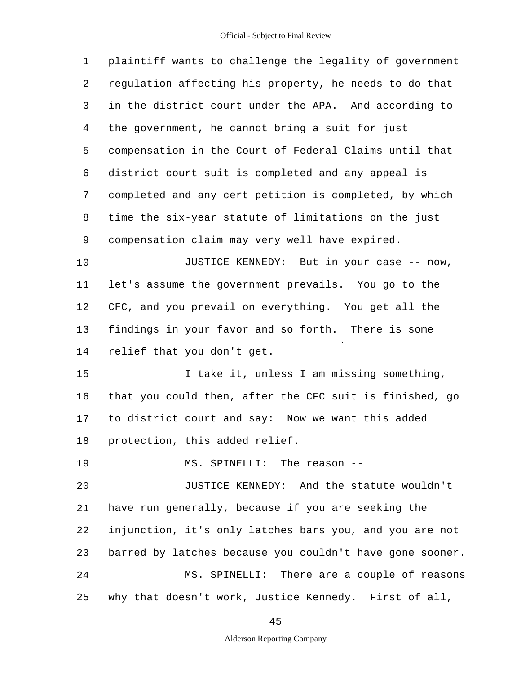| $\mathbf{1}$   | plaintiff wants to challenge the legality of government  |
|----------------|----------------------------------------------------------|
| 2              | regulation affecting his property, he needs to do that   |
| $\mathfrak{Z}$ | in the district court under the APA. And according to    |
| 4              | the government, he cannot bring a suit for just          |
| 5              | compensation in the Court of Federal Claims until that   |
| 6              | district court suit is completed and any appeal is       |
| 7              | completed and any cert petition is completed, by which   |
| 8              | time the six-year statute of limitations on the just     |
| 9              | compensation claim may very well have expired.           |
| 10             | JUSTICE KENNEDY: But in your case -- now,                |
| 11             | let's assume the government prevails. You go to the      |
| 12             | CFC, and you prevail on everything. You get all the      |
| 13             | findings in your favor and so forth. There is some       |
| 14             | relief that you don't get.                               |
| 15             | I take it, unless I am missing something,                |
| 16             | that you could then, after the CFC suit is finished, go  |
| 17             | to district court and say: Now we want this added        |
| $1\,8$         | protection, this added relief.                           |
| 19             | MS. SPINELLI: The reason --                              |
| 20             | JUSTICE KENNEDY: And the statute wouldn't                |
| 21             | have run generally, because if you are seeking the       |
| 22             | injunction, it's only latches bars you, and you are not  |
| 23             | barred by latches because you couldn't have gone sooner. |
| 24             | MS. SPINELLI: There are a couple of reasons              |
| 25             | why that doesn't work, Justice Kennedy. First of all,    |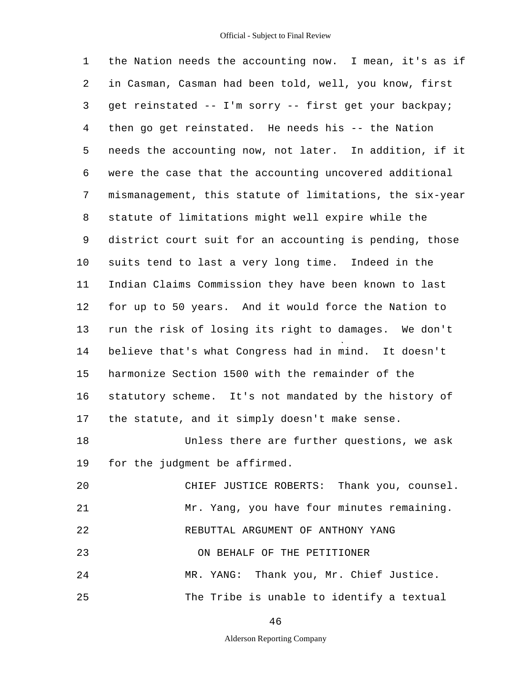1 2 3 4 5 6 7 8 9 10 11 12 13 14 15 16 17 18 19  $20$ 21 22 23 24 25 the Nation needs the accounting now. I mean, it's as if in Casman, Casman had been told, well, you know, first get reinstated -- I'm sorry -- first get your backpay; then go get reinstated. He needs his -- the Nation needs the accounting now, not later. In addition, if it were the case that the accounting uncovered additional mismanagement, this statute of limitations, the six-year statute of limitations might well expire while the district court suit for an accounting is pending, those suits tend to last a very long time. Indeed in the Indian Claims Commission they have been known to last for up to 50 years. And it would force the Nation to run the risk of losing its right to damages. We don't believe that's what Congress had in mind. It doesn't harmonize Section 1500 with the remainder of the statutory scheme. It's not mandated by the history of the statute, and it simply doesn't make sense. Unless there are further questions, we ask for the judgment be affirmed. CHIEF JUSTICE ROBERTS: Thank you, counsel. Mr. Yang, you have four minutes remaining. REBUTTAL ARGUMENT OF ANTHONY YANG ON BEHALF OF THE PETITIONER MR. YANG: Thank you, Mr. Chief Justice. The Tribe is unable to identify a textual

46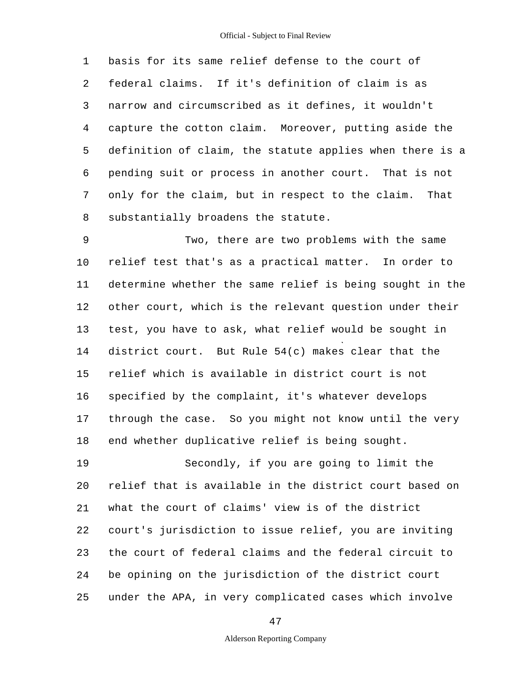1 2 3 4 5 6 7 8 basis for its same relief defense to the court of federal claims. If it's definition of claim is as narrow and circumscribed as it defines, it wouldn't capture the cotton claim. Moreover, putting aside the definition of claim, the statute applies when there is a pending suit or process in another court. That is not only for the claim, but in respect to the claim. That substantially broadens the statute.

9 10 11 12 13 14 15 16 17 18 Two, there are two problems with the same relief test that's as a practical matter. In order to determine whether the same relief is being sought in the other court, which is the relevant question under their test, you have to ask, what relief would be sought in district court. But Rule 54(c) makes clear that the relief which is available in district court is not specified by the complaint, it's whatever develops through the case. So you might not know until the very end whether duplicative relief is being sought.

19 20 21 22 23 24 25 Secondly, if you are going to limit the relief that is available in the district court based on what the court of claims' view is of the district court's jurisdiction to issue relief, you are inviting the court of federal claims and the federal circuit to be opining on the jurisdiction of the district court under the APA, in very complicated cases which involve

47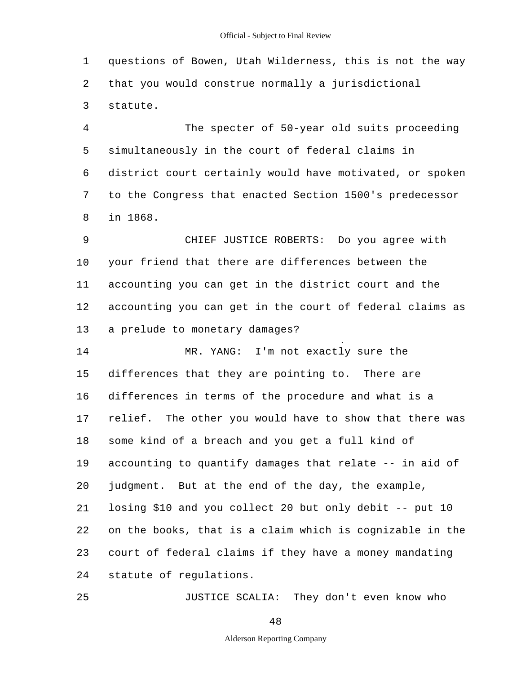1 2 3 questions of Bowen, Utah Wilderness, this is not the way that you would construe normally a jurisdictional statute.

4 5 6 7 8 The specter of 50-year old suits proceeding simultaneously in the court of federal claims in district court certainly would have motivated, or spoken to the Congress that enacted Section 1500's predecessor in 1868.

9 10 11 12 13 CHIEF JUSTICE ROBERTS: Do you agree with your friend that there are differences between the accounting you can get in the district court and the accounting you can get in the court of federal claims as a prelude to monetary damages?

14 15 16 17 18 19 20 21 22 23 24 MR. YANG: I'm not exactly sure the differences that they are pointing to. There are differences in terms of the procedure and what is a relief. The other you would have to show that there was some kind of a breach and you get a full kind of accounting to quantify damages that relate -- in aid of judgment. But at the end of the day, the example, losing \$10 and you collect 20 but only debit -- put 10 on the books, that is a claim which is cognizable in the court of federal claims if they have a money mandating statute of regulations.

25 JUSTICE SCALIA: They don't even know who

48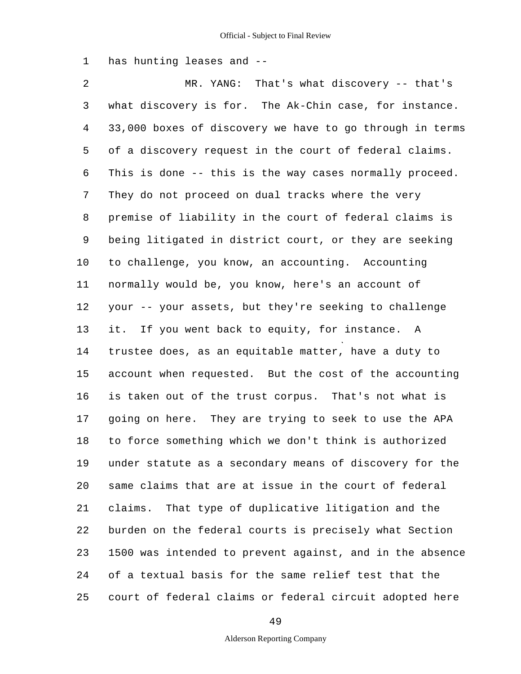1 has hunting leases and -

2 3 4 5 6 7 8 9 10 11 12 13 14 15 16 17 18 19 20 21 22 23 24 25 MR. YANG: That's what discovery -- that's what discovery is for. The Ak-Chin case, for instance. 33,000 boxes of discovery we have to go through in terms of a discovery request in the court of federal claims. This is done -- this is the way cases normally proceed. They do not proceed on dual tracks where the very premise of liability in the court of federal claims is being litigated in district court, or they are seeking to challenge, you know, an accounting. Accounting normally would be, you know, here's an account of your -- your assets, but they're seeking to challenge it. If you went back to equity, for instance. A trustee does, as an equitable matter, have a duty to account when requested. But the cost of the accounting is taken out of the trust corpus. That's not what is going on here. They are trying to seek to use the APA to force something which we don't think is authorized under statute as a secondary means of discovery for the same claims that are at issue in the court of federal claims. That type of duplicative litigation and the burden on the federal courts is precisely what Section 1500 was intended to prevent against, and in the absence of a textual basis for the same relief test that the court of federal claims or federal circuit adopted here

49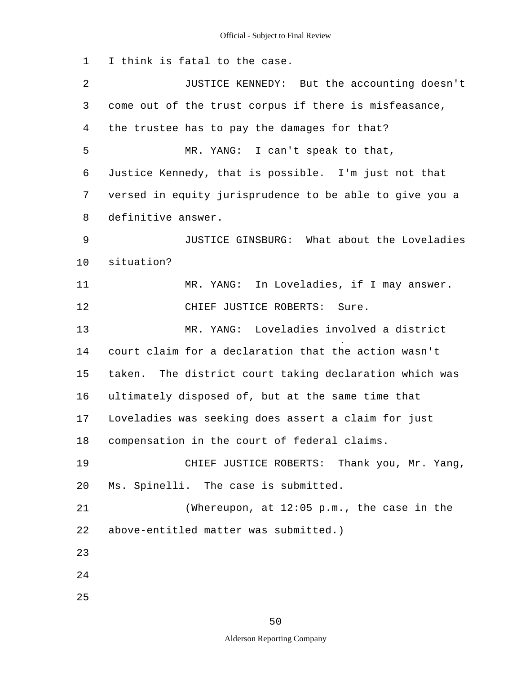1 2 3 4 5 6 7 8 9 10 11 12 13 14 15 16 17 18 19 20 21 22 23 24 I think is fatal to the case. JUSTICE KENNEDY: But the accounting doesn't come out of the trust corpus if there is misfeasance, the trustee has to pay the damages for that? MR. YANG: I can't speak to that, Justice Kennedy, that is possible. I'm just not that versed in equity jurisprudence to be able to give you a definitive answer. JUSTICE GINSBURG: What about the Loveladies situation? MR. YANG: In Loveladies, if I may answer. CHIEF JUSTICE ROBERTS: Sure. MR. YANG: Loveladies involved a district court claim for a declaration that the action wasn't taken. The district court taking declaration which was ultimately disposed of, but at the same time that Loveladies was seeking does assert a claim for just compensation in the court of federal claims. CHIEF JUSTICE ROBERTS: Thank you, Mr. Yang, Ms. Spinelli. The case is submitted. (Whereupon, at 12:05 p.m., the case in the above-entitled matter was submitted.)

25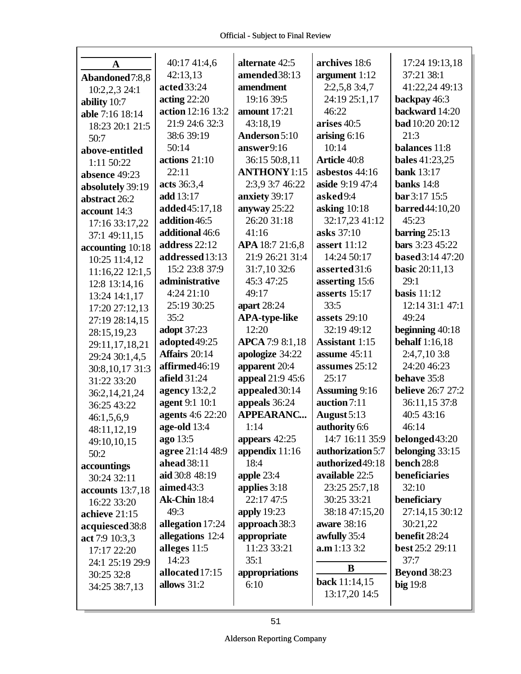|                  | 40:17 41:4,6                         | alternate 42:5                    | archives 18:6         | 17:24 19:13,18                |
|------------------|--------------------------------------|-----------------------------------|-----------------------|-------------------------------|
| $\mathbf{A}$     | 42:13,13                             | amended 38:13                     | argument 1:12         | 37:21 38:1                    |
| Abandoned7:8,8   | acted 33:24                          | amendment                         | 2:2,5,8,3:4,7         | 41:22,24 49:13                |
| 10:2,2,3 24:1    | acting $22:20$                       | 19:16 39:5                        | 24:19 25:1,17         | backpay 46:3                  |
| ability 10:7     | action 12:16 13:2                    | amount 17:21                      | 46:22                 | backward 14:20                |
| able 7:16 18:14  | 21:9 24:6 32:3                       | 43:18,19                          | arises 40:5           | <b>bad</b> 10:20 20:12        |
| 18:23 20:1 21:5  | 38:6 39:19                           | Anderson 5:10                     | arising $6:16$        | 21:3                          |
| 50:7             | 50:14                                | answer9:16                        | 10:14                 | balances 11:8                 |
| above-entitled   | actions $21:10$                      | 36:15 50:8,11                     | <b>Article 40:8</b>   | <b>bales</b> 41:23,25         |
| 1:11 50:22       | 22:11                                | <b>ANTHONY</b> 1:15               | asbestos 44:16        | <b>bank</b> 13:17             |
| absence 49:23    | acts 36:3,4                          | 2:3,9 3:7 46:22                   | aside 9:19 47:4       | banks $14:8$                  |
| absolutely 39:19 | add 13:17                            | anxiety 39:17                     | asked9:4              | bar 3:17 15:5                 |
| abstract 26:2    | added45:17,18                        | anyway 25:22                      | asking $10:18$        | <b>barred</b> 44:10,20        |
| account 14:3     | addition 46:5                        | 26:20 31:18                       | 32:17,23 41:12        | 45:23                         |
| 17:16 33:17,22   | additional 46:6                      | 41:16                             | asks 37:10            | barring $25:13$               |
| 37:1 49:11,15    | address 22:12                        | APA 18:7 21:6,8                   | <b>assert</b> 11:12   | bars 3:23 45:22               |
| accounting 10:18 | addressed 13:13                      | 21:9 26:21 31:4                   | 14:24 50:17           | <b>based</b> 3:14 47:20       |
| 10:25 11:4,12    | 15:2 23:8 37:9                       | 31:7,10 32:6                      | asserted 31:6         |                               |
| 11:16,22 12:1,5  | administrative                       | 45:3 47:25                        | asserting 15:6        | <b>basic</b> 20:11,13<br>29:1 |
| 12:8 13:14,16    | 4:2421:10                            | 49:17                             | asserts $15:17$       | basis $11:12$                 |
| 13:24 14:1,17    |                                      |                                   | 33:5                  | 12:14 31:1 47:1               |
| 17:20 27:12,13   | 25:19 30:25<br>35:2                  | apart $28:24$                     |                       | 49:24                         |
| 27:19 28:14,15   |                                      | <b>APA-type-like</b><br>12:20     | assets $29:10$        |                               |
| 28:15,19,23      | adopt 37:23                          |                                   | 32:19 49:12           | beginning $40:18$             |
| 29:11,17,18,21   | adopted 49:25<br>Affairs 20:14       | <b>APCA</b> 7:9 8:1,18            | <b>Assistant 1:15</b> | <b>behalf</b> 1:16,18         |
| 29:24 30:1,4,5   |                                      | apologize 34:22                   | assume 45:11          | 2:4,7,10 3:8<br>24:20 46:23   |
| 30:8,10,17 31:3  | affirmed46:19<br><b>afield</b> 31:24 | apparent 20:4                     | assumes 25:12         |                               |
| 31:22 33:20      |                                      | appeal 21:9 45:6                  | 25:17                 | behave 35:8                   |
| 36:2, 14, 21, 24 | agency $13:2,2$                      | appealed 30:14                    | <b>Assuming 9:16</b>  | <b>believe</b> 26:7 27:2      |
| 36:25 43:22      | agent 9:1 10:1                       | appeals 36:24<br><b>APPEARANC</b> | auction 7:11          | 36:11,15 37:8                 |
| 46:1,5,6,9       | <b>agents</b> 4:6 22:20              |                                   | August 5:13           | 40:5 43:16                    |
| 48:11,12,19      | age-old 13:4                         | 1:14                              | authority 6:6         | 46:14                         |
| 49:10,10,15      | ago 13:5                             | appears 42:25                     | 14:7 16:11 35:9       | belonged43:20                 |
| 50:2             | agree 21:14 48:9                     | appendix $11:16$                  | authorization 5:7     | belonging 33:15               |
| accountings      | ahead 38:11                          | 18:4                              | authorized 49:18      | bench 28:8                    |
| 30:24 32:11      | aid 30:8 48:19                       | apple 23:4                        | available 22:5        | beneficiaries                 |
| accounts 13:7,18 | aimed 43:3                           | applies 3:18                      | 23:25 25:7,18         | 32:10                         |
| 16:22 33:20      | <b>Ak-Chin</b> 18:4                  | 22:17 47:5                        | 30:25 33:21           | beneficiary                   |
| achieve 21:15    | 49:3                                 | apply 19:23                       | 38:18 47:15,20        | 27:14,15 30:12                |
| acquiesced 38:8  | allegation 17:24                     | approach 38:3                     | aware 38:16           | 30:21,22                      |
| act 7:9 10:3,3   | allegations 12:4                     | appropriate                       | awfully 35:4          | benefit 28:24                 |
| 17:17 22:20      | alleges 11:5                         | 11:23 33:21                       | a.m 1:13 3:2          | best 25:2 29:11               |
| 24:1 25:19 29:9  | 14:23                                | 35:1                              | B                     | 37:7                          |
| 30:25 32:8       | allocated 17:15                      | appropriations                    | <b>back</b> 11:14,15  | <b>Beyond 38:23</b>           |
| 34:25 38:7,13    | allows 31:2                          | 6:10                              | 13:17,20 14:5         | big 19:8                      |
|                  |                                      |                                   |                       |                               |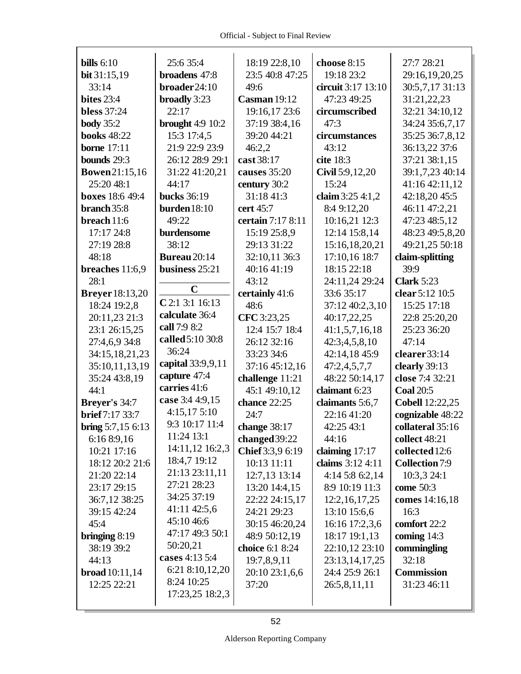| bills $6:10$            | 25:6 35:4           | 18:19 22:8,10       | choose 8:15        | 27:7 28:21             |
|-------------------------|---------------------|---------------------|--------------------|------------------------|
| bit 31:15,19            | broadens 47:8       | 23:5 40:8 47:25     | 19:18 23:2         | 29:16,19,20,25         |
| 33:14                   | broader24:10        | 49:6                | circuit 3:17 13:10 | 30:5,7,17 31:13        |
| <b>bites</b> 23:4       | broadly 3:23        | <b>Casman</b> 19:12 | 47:23 49:25        | 31:21,22,23            |
| <b>bless</b> 37:24      | 22:17               | 19:16,17 23:6       | circumscribed      | 32:21 34:10,12         |
| <b>body</b> 35:2        | brought $4:9$ 10:2  | 37:19 38:4,16       | 47:3               | 34:24 35:6,7,17        |
| <b>books</b> 48:22      | 15:3 17:4,5         | 39:20 44:21         | circumstances      | 35:25 36:7,8,12        |
| <b>borne</b> 17:11      | 21:9 22:9 23:9      | 46:2,2              | 43:12              | 36:13,22 37:6          |
| bounds 29:3             | 26:12 28:9 29:1     | cast 38:17          | cite 18:3          | 37:21 38:1,15          |
| <b>Bowen21:15,16</b>    | 31:22 41:20,21      | causes 35:20        | Civil 5:9,12,20    | 39:1,7,23 40:14        |
| 25:20 48:1              | 44:17               | century 30:2        | 15:24              | 41:16 42:11,12         |
| <b>boxes</b> 18:6 49:4  | <b>bucks</b> 36:19  | 31:18 41:3          | claim 3:25 4:1,2   | 42:18,20 45:5          |
| branch 35:8             | burden $18:10$      | cert 45:7           | 8:4 9:12,20        | 46:11 47:2,21          |
| breach 11:6             | 49:22               | certain 7:17 8:11   | 10:16,21 12:3      | 47:23 48:5,12          |
| 17:17 24:8              | burdensome          | 15:19 25:8,9        | 12:14 15:8,14      | 48:23 49:5,8,20        |
| 27:19 28:8              | 38:12               | 29:13 31:22         | 15:16,18,20,21     | 49:21,25 50:18         |
| 48:18                   | <b>Bureau</b> 20:14 | 32:10,11 36:3       | 17:10,16 18:7      | claim-splitting        |
| breaches 11:6,9         | business 25:21      | 40:16 41:19         | 18:15 22:18        | 39:9                   |
| 28:1                    |                     | 43:12               | 24:11,24 29:24     | <b>Clark</b> 5:23      |
| <b>Breyer</b> 18:13,20  | $\mathbf C$         | certainly 41:6      | 33:6 35:17         | clear 5:12 10:5        |
| 18:24 19:2,8            | C 2:1 3:1 16:13     | 48:6                | 37:12 40:2,3,10    | 15:25 17:18            |
| 20:11,23 21:3           | calculate 36:4      | CFC 3:23,25         | 40:17,22,25        | 22:8 25:20,20          |
| 23:1 26:15,25           | call 7:9 8:2        | 12:4 15:7 18:4      | 41:1,5,7,16,18     | 25:23 36:20            |
| 27:4,6,9 34:8           | called 5:10 30:8    | 26:12 32:16         | 42:3;4,5,8,10      | 47:14                  |
| 34:15,18,21,23          | 36:24               | 33:23 34:6          | 42:14,18 45:9      | clearer 33:14          |
| 35:10,11,13,19          | capital 33:9,9,11   | 37:16 45:12,16      | 47:2,4,5,7,7       | clearly 39:13          |
| 35:24 43:8,19           | capture 47:4        | challenge 11:21     | 48:22 50:14,17     | close 7:4 32:21        |
| 44:1                    | carries 41:6        | 45:1 49:10,12       | claimant 6:23      | <b>Coal 20:5</b>       |
| Breyer's 34:7           | case 3:4 4:9,15     | chance 22:25        | claimants 5:6,7    | <b>Cobell 12:22,25</b> |
| <b>brief</b> 7:17 33:7  | 4:15,175:10         | 24:7                | 22:16 41:20        | cognizable 48:22       |
| bring $5:7,156:13$      | 9:3 10:17 11:4      | change 38:17        | 42:25 43:1         | collateral 35:16       |
| 6:16 8:9,16             | 11:24 13:1          | changed 39:22       | 44:16              | collect 48:21          |
| 10:21 17:16             | 14:11,12 16:2,3     | Chief 3:3,9 6:19    | claiming $17:17$   | collected 12:6         |
| 18:12 20:2 21:6         | 18:4,7 19:12        | 10:13 11:11         | claims 3:12 4:11   | <b>Collection 7:9</b>  |
| 21:20 22:14             | 21:13 23:11,11      | 12:7,13 13:14       | $4:14$ 5:8 6:2,14  | 10:3,3 24:1            |
| 23:17 29:15             | 27:21 28:23         | 13:20 14:4,15       | 8:9 10:19 11:3     | come 50:3              |
| 36:7,12 38:25           | 34:25 37:19         | 22:22 24:15,17      | 12:2, 16, 17, 25   | comes 14:16,18         |
| 39:15 42:24             | $41:11\,42:5,6$     | 24:21 29:23         | 13:10 15:6,6       | 16:3                   |
| 45:4                    | 45:10 46:6          | 30:15 46:20,24      | 16:16 17:2,3,6     | comfort 22:2           |
| bringing $8:19$         | 47:17 49:3 50:1     | 48:9 50:12,19       | 18:17 19:1,13      | coming $14:3$          |
| 38:19 39:2              | 50:20,21            | choice 6:1 8:24     | 22:10,12 23:10     | commingling            |
| 44:13                   | cases 4:13 5:4      | 19:7,8,9,11         | 23:13,14,17,25     | 32:18                  |
| <b>broad</b> $10:11,14$ | 6:21 8:10,12,20     | 20:10 23:1,6,6      | 24:4 25:9 26:1     | <b>Commission</b>      |
| 12:25 22:21             | 8:24 10:25          | 37:20               | 26:5,8,11,11       | 31:23 46:11            |
|                         | 17:23,25 18:2,3     |                     |                    |                        |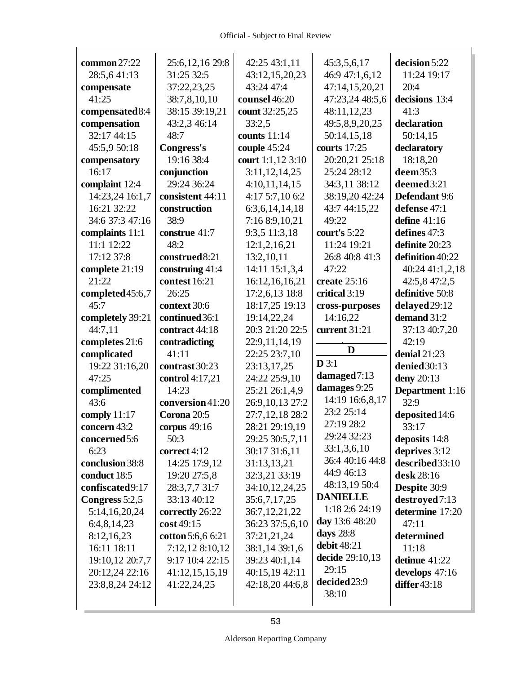| common $27:22$   | 25:6, 12, 16 29:8 | 42:25 43:1,11     | 45:3,5,6,17     | decision 5:22    |
|------------------|-------------------|-------------------|-----------------|------------------|
| 28:5,641:13      | 31:25 32:5        | 43:12,15,20,23    | 46:9 47:1,6,12  | 11:24 19:17      |
| compensate       | 37:22,23,25       | 43:24 47:4        | 47:14,15,20,21  | 20:4             |
| 41:25            | 38:7,8,10,10      | counsel 46:20     | 47:23,24 48:5,6 | decisions 13:4   |
| compensated 8:4  | 38:15 39:19,21    | count 32:25,25    | 48:11,12,23     | 41:3             |
| compensation     | 43:2,3 46:14      | 33:2,5            | 49:5,8,9,20,25  | declaration      |
| 32:17 44:15      | 48:7              | counts 11:14      | 50:14,15,18     | 50:14,15         |
| 45:5,9 50:18     | Congress's        | couple 45:24      | courts 17:25    | declaratory      |
| compensatory     | 19:16 38:4        | court 1:1,12 3:10 | 20:20,21 25:18  | 18:18,20         |
| 16:17            | conjunction       | 3:11,12,14,25     | 25:24 28:12     | deem 35:3        |
| complaint 12:4   | 29:24 36:24       | 4:10,11,14,15     | 34:3,11 38:12   | deemed 3:21      |
| 14:23,24 16:1,7  | consistent 44:11  | 4:17 5:7,10 6:2   | 38:19,20 42:24  | Defendant 9:6    |
| 16:21 32:22      | construction      | 6:3,6,14,14,18    | 43:7 44:15,22   | defense 47:1     |
| 34:6 37:3 47:16  | 38:9              | 7:16 8:9,10,21    | 49:22           | define $41:16$   |
| complaints 11:1  | construe 41:7     | 9:3,5 11:3,18     | court's 5:22    | defines 47:3     |
| 11:1 12:22       | 48:2              | 12:1,2,16,21      | 11:24 19:21     | definite 20:23   |
| 17:12 37:8       | construed8:21     | 13:2,10,11        | 26:8 40:8 41:3  | definition 40:22 |
| complete 21:19   | construing 41:4   | 14:11 15:1,3,4    | 47:22           | 40:24 41:1,2,18  |
| 21:22            | contest 16:21     | 16:12,16,16,21    | create 25:16    | 42:5,8 47:2,5    |
| completed 45:6,7 | 26:25             | 17:2,6,13 18:8    | critical 3:19   | definitive 50:8  |
| 45:7             | context 30:6      | 18:17,25 19:13    | cross-purposes  | delayed 29:12    |
| completely 39:21 | continued 36:1    | 19:14,22,24       | 14:16,22        | demand 31:2      |
| 44:7,11          | contract 44:18    | 20:3 21:20 22:5   | current 31:21   | 37:13 40:7,20    |
| completes 21:6   | contradicting     | 22:9,11,14,19     |                 | 42:19            |
| complicated      | 41:11             | 22:25 23:7,10     | D               | denial $21:23$   |
| 19:22 31:16,20   | contrast 30:23    | 23:13,17,25       | $D$ 3:1         | denied 30:13     |
| 47:25            | control 4:17,21   | 24:22 25:9,10     | damaged 7:13    | deny 20:13       |
| complimented     | 14:23             | 25:21 26:1,4,9    | damages 9:25    | Department 1:16  |
| 43:6             | conversion 41:20  | 26:9,10,13 27:2   | 14:19 16:6,8,17 | 32:9             |
| comply $11:17$   | Corona 20:5       | 27:7,12,18 28:2   | 23:2 25:14      | deposited 14:6   |
| concern 43:2     | corpus $49:16$    | 28:21 29:19,19    | 27:19 28:2      | 33:17            |
| concerned5:6     | 50:3              | 29:25 30:5,7,11   | 29:24 32:23     | deposits 14:8    |
| 6:23             | correct 4:12      | 30:17 31:6,11     | 33:1,3,6,10     | deprives 3:12    |
| conclusion 38:8  | 14:25 17:9,12     | 31:13,13,21       | 36:4 40:16 44:8 | described 33:10  |
| conduct 18:5     | 19:20 27:5,8      | 32:3,21 33:19     | 44:9 46:13      | desk 28:16       |
| confiscated9:17  | 28:3,7,7 31:7     | 34:10,12,24,25    | 48:13,19 50:4   | Despite 30:9     |
| Congress 5:2,5   | 33:13 40:12       | 35:6,7,17,25      | <b>DANIELLE</b> | destroyed7:13    |
| 5:14,16,20,24    | correctly 26:22   | 36:7,12,21,22     | 1:18 2:6 24:19  | determine 17:20  |
| 6:4,8,14,23      | cost 49:15        | 36:23 37:5,6,10   | day 13:6 48:20  | 47:11            |
| 8:12,16,23       | cotton 5:6,6 6:21 | 37:21,21,24       | days 28:8       | determined       |
| 16:11 18:11      | 7:12,12 8:10,12   | 38:1,14 39:1,6    | debit 48:21     | 11:18            |
| 19:10,12 20:7,7  | 9:17 10:4 22:15   | 39:23 40:1,14     | decide 29:10,13 | detinue $41:22$  |
| 20:12,24 22:16   | 41:12,15,15,19    | 40:15,19 42:11    | 29:15           | develops $47:16$ |
| 23:8,8,24 24:12  | 41:22,24,25       | 42:18,20 44:6,8   | decided 23:9    | differ $43:18$   |
|                  |                   |                   | 38:10           |                  |
|                  |                   |                   |                 |                  |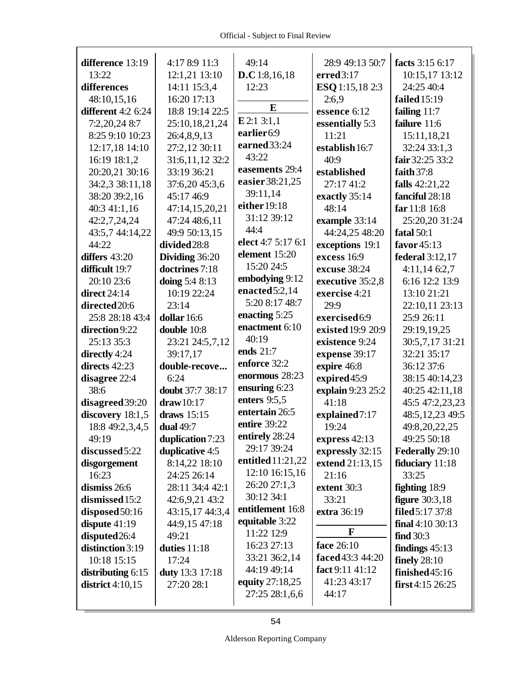| difference 13:19          | 4:17 8:9 11:3    | 49:14                          | 28:9 49:13 50:7        | facts 3:15 6:17      |
|---------------------------|------------------|--------------------------------|------------------------|----------------------|
| 13:22                     | 12:1,21 13:10    | D.C 1:8,16,18                  | erred 3:17             | 10:15,17 13:12       |
| differences               | 14:11 15:3,4     | 12:23                          | <b>ESQ</b> 1:15,18 2:3 | 24:25 40:4           |
| 48:10,15,16               | 16:20 17:13      |                                | 2:6,9                  | failed 15:19         |
| <b>different</b> 4:2 6:24 | 18:8 19:14 22:5  | E                              | essence 6:12           | failing 11:7         |
| 7:2,20,24 8:7             | 25:10,18,21,24   | E2:13:1,1                      | essentially 5:3        | failure 11:6         |
| 8:25 9:10 10:23           | 26:4,8,9,13      | earlier <sub>6:9</sub>         | 11:21                  | 15:11,18,21          |
| 12:17,18 14:10            | 27:2,12 30:11    | earned 33:24                   | establish 16:7         | 32:24 33:1,3         |
| 16:19 18:1,2              | 31:6,11,12 32:2  | 43:22                          | 40:9                   | fair 32:25 33:2      |
| 20:20,21 30:16            | 33:19 36:21      | easements 29:4                 | established            | faith $37:8$         |
| 34:2,3 38:11,18           | 37:6,20 45:3,6   | easier 38:21,25                | 27:17 41:2             | falls 42:21,22       |
| 38:20 39:2,16             | 45:17 46:9       | 39:11,14                       | exactly 35:14          | fanciful 28:18       |
| 40:3 41:1,16              | 47:14,15,20,21   | either 19:18                   | 48:14                  | far 11:8 16:8        |
| 42:2,7,24,24              | 47:24 48:6,11    | 31:12 39:12                    | example 33:14          | 25:20,20 31:24       |
| 43:5,7 44:14,22           | 49:9 50:13,15    | 44:4                           | 44:24,25 48:20         | fatal 50:1           |
| 44:22                     | divided 28:8     | elect 4:7 5:17 6:1             | exceptions 19:1        | favor 45:13          |
| differs $43:20$           | Dividing 36:20   | element 15:20                  | excess 16:9            | federal 3:12,17      |
| difficult 19:7            | doctrines 7:18   | 15:20 24:5                     | excuse 38:24           | $4:11,14$ 6:2,7      |
| 20:10 23:6                | doing 5:4 8:13   | embodying 9:12                 | executive 35:2,8       | 6:16 12:2 13:9       |
| direct $24:14$            | 10:19 22:24      | enacted 5:2,14                 | exercise 4:21          | 13:10 21:21          |
| directed 20:6             | 23:14            | 5:20 8:17 48:7                 | 29:9                   | 22:10,11 23:13       |
| 25:8 28:18 43:4           | dollar 16:6      | enacting 5:25                  | exercised6:9           | 25:9 26:11           |
| direction 9:22            | double 10:8      | enactment 6:10                 | existed 19:9 20:9      | 29:19,19,25          |
| 25:13 35:3                | 23:21 24:5,7,12  | 40:19                          | existence 9:24         | 30:5,7,17 31:21      |
| directly 4:24             | 39:17,17         | ends 21:7                      | expense 39:17          | 32:21 35:17          |
| directs 42:23             | double-recove    | enforce 32:2                   | expire 46:8            | 36:12 37:6           |
| disagree 22:4             | 6:24             | enormous 28:23                 | expired45:9            | 38:15 40:14,23       |
| 38:6                      | doubt 37:7 38:17 | ensuring 6:23                  | explain 9:23 25:2      | 40:25 42:11,18       |
| disagreed 39:20           | draw 10:17       | enters $9:5,5$                 | 41:18                  | 45:5 47:2,23,23      |
| discovery 18:1,5          | draws 15:15      | entertain 26:5                 | explained7:17          | 48:5, 12, 23 49:5    |
| 18:8 49:2,3,4,5           | <b>dual</b> 49:7 | entire 39:22                   | 19:24                  | 49:8,20,22,25        |
| 49:19                     | duplication 7:23 | entirely 28:24                 | express $42:13$        | 49:25 50:18          |
| discussed 5:22            | duplicative 4:5  | 29:17 39:24                    | expressly 32:15        | Federally 29:10      |
| disgorgement              | 8:14,22 18:10    | entitled 11:21,22              | extend 21:13,15        | fiduciary 11:18      |
| 16:23                     | 24:25 26:14      | 12:10 16:15,16<br>26:20 27:1,3 | 21:16                  | 33:25                |
| dismiss 26:6              | 28:11 34:4 42:1  | 30:12 34:1                     | extent 30:3            | <b>fighting</b> 18:9 |
| dismissed 15:2            | 42:6,9,21 43:2   | entitlement 16:8               | 33:21                  | figure $30:3,18$     |
| disposed 50:16            | 43:15,17 44:3,4  | equitable 3:22                 | extra 36:19            | filed 5:17 37:8      |
| dispute $41:19$           | 44:9,15 47:18    | 11:22 12:9                     | F                      | final $4:1030:13$    |
| disputed 26:4             | 49:21            | 16:23 27:13                    | face 26:10             | find 30:3            |
| distinction 3:19          | duties 11:18     | 33:21 36:2,14                  | faced 43:3 44:20       | findings $45:13$     |
| 10:18 15:15               | 17:24            | 44:19 49:14                    | fact 9:11 41:12        | finely $28:10$       |
| distributing $6:15$       | duty 13:3 17:18  | equity 27:18,25                | 41:23 43:17            | finished 45:16       |
| district $4:10,15$        | 27:20 28:1       | 27:25 28:1,6,6                 | 44:17                  | first $4:15\,26:25$  |
|                           |                  |                                |                        |                      |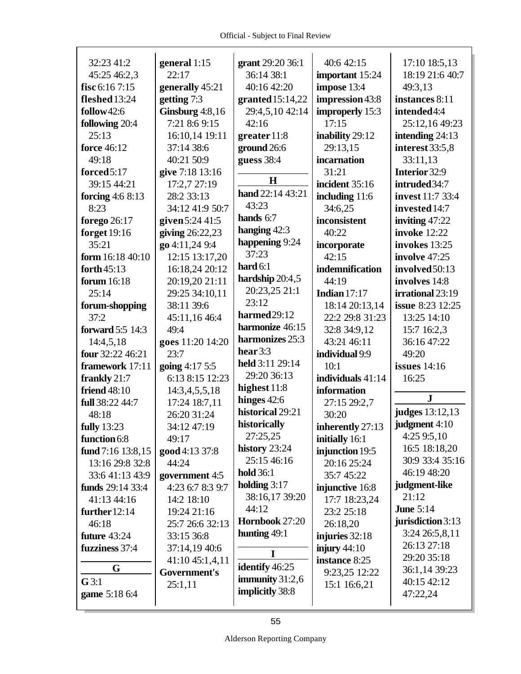| 32:23 41:2          | general 1:15      | grant 29:20 36:1   | 40:6 42:15        | 17:10 18:5,13           |
|---------------------|-------------------|--------------------|-------------------|-------------------------|
| 45:25 46:2,3        | 22:17             | 36:14 38:1         | important 15:24   | 18:19 21:6 40:7         |
| fisc 6:16 7:15      | generally 45:21   | 40:16 42:20        | impose 13:4       | 49:3,13                 |
| fleshed 13:24       | getting 7:3       | granted $15:14,22$ | impression 43:8   | instances 8:11          |
| follow42:6          | Ginsburg $4:8,16$ | 29:4,5,10 42:14    | improperly 15:3   | intended4:4             |
| following 20:4      | 7:21 8:6 9:15     | 42:16              | 17:15             | 25:12,16 49:23          |
| 25:13               | 16:10,14 19:11    | greater 11:8       | inability 29:12   | intending 24:13         |
| <b>force</b> 46:12  | 37:14 38:6        | ground 26:6        | 29:13,15          | interest 33:5,8         |
| 49:18               | 40:21 50:9        | guess 38:4         | incarnation       | 33:11,13                |
| forced5:17          | give 7:18 13:16   |                    | 31:21             | Interior 32:9           |
| 39:15 44:21         | 17:2,7 27:19      | $\mathbf H$        | incident 35:16    | intruded 34:7           |
| forcing $4:68:13$   | 28:2 33:13        | hand 22:14 43:21   | including 11:6    | invest 11:7 33:4        |
| 8:23                | 34:12 41:9 50:7   | 43:23              | 34:6,25           | invested 14:7           |
| forego 26:17        | given 5:24 41:5   | hands 6:7          | inconsistent      | inviting $47:22$        |
| <b>forget</b> 19:16 | giving 26:22,23   | hanging 42:3       | 40:22             | invoke 12:22            |
| 35:21               | go 4:11,24 9:4    | happening 9:24     | incorporate       | invokes 13:25           |
| form 16:18 40:10    | 12:15 13:17,20    | 37:23              | 42:15             | involve 47:25           |
| forth $45:13$       | 16:18,24 20:12    | hard $6:1$         | indemnification   | involved 50:13          |
| forum 16:18         | 20:19,20 21:11    | hardship 20:4,5    | 44:19             | involves 14:8           |
| 25:14               | 29:25 34:10,11    | 20:23,25 21:1      | Indian $17:17$    | irrational 23:19        |
| forum-shopping      | 38:11 39:6        | 23:12              | 18:14 20:13,14    | <b>issue</b> 8:23 12:25 |
| 37:2                | 45:11,16 46:4     | harmed 29:12       | 22:2 29:8 31:23   | 13:25 14:10             |
| forward 5:5 14:3    | 49:4              | harmonize 46:15    | 32:8 34:9,12      | 15:7 16:2,3             |
| 14:4,5,18           | goes 11:20 14:20  | harmonizes 25:3    | 43:21 46:11       | 36:16 47:22             |
| four 32:22 46:21    | 23:7              | hear $3:3$         | individual 9:9    | 49:20                   |
| framework 17:11     | going 4:17 5:5    | held 3:11 29:14    | 10:1              | <b>issues</b> 14:16     |
| frankly 21:7        | 6:13 8:15 12:23   | 29:20 36:13        | individuals 41:14 | 16:25                   |
| <b>friend</b> 48:10 | 14:3,4,5,5,18     | highest 11:8       | information       |                         |
| full 38:22 44:7     | 17:24 18:7,11     | hinges $42:6$      | 27:15 29:2,7      | $\mathbf{J}$            |
| 48:18               | 26:20 31:24       | historical 29:21   | 30:20             | <b>judges</b> 13:12,13  |
| <b>fully</b> 13:23  | 34:12 47:19       | historically       | inherently 27:13  | judgment 4:10           |
| function 6:8        | 49:17             | 27:25,25           | initially 16:1    | 4:259:5,10              |
| fund 7:16 13:8,15   | good 4:13 37:8    | history 23:24      | injunction 19:5   | 16:5 18:18,20           |
| 13:16 29:8 32:8     | 44:24             | 25:15 46:16        | 20:16 25:24       | 30:9 33:4 35:16         |
| 33:6 41:13 43:9     | government 4:5    | <b>hold</b> 36:1   | 35:7 45:22        | 46:19 48:20             |
| funds 29:14 33:4    | 4:23 6:7 8:3 9:7  | holding $3:17$     | injunctive 16:8   | judgment-like           |
| 41:13 44:16         | 14:2 18:10        | 38:16,17 39:20     | 17:7 18:23,24     | 21:12                   |
| further $12:14$     | 19:24 21:16       | 44:12              | 23:2 25:18        | <b>June 5:14</b>        |
| 46:18               | 25:7 26:6 32:13   | Hornbook 27:20     | 26:18,20          | jurisdiction 3:13       |
| future 43:24        | 33:15 36:8        | hunting $49:1$     | injuries 32:18    | 3:24 26:5,8,11          |
| fuzziness 37:4      | 37:14,19 40:6     |                    | injury $44:10$    | 26:13 27:18             |
|                     | 41:10 45:1,4,11   | 1                  | instance 8:25     | 29:20 35:18             |
| G                   | Government's      | identify 46:25     | 9:23,25 12:22     | 36:1,14 39:23           |
| G3:1                | 25:1,11           | immunity $31:2,6$  | 15:1 16:6,21      | 40:15 42:12             |
| game 5:18 6:4       |                   | implicitly 38:8    |                   | 47:22,24                |
|                     |                   |                    |                   |                         |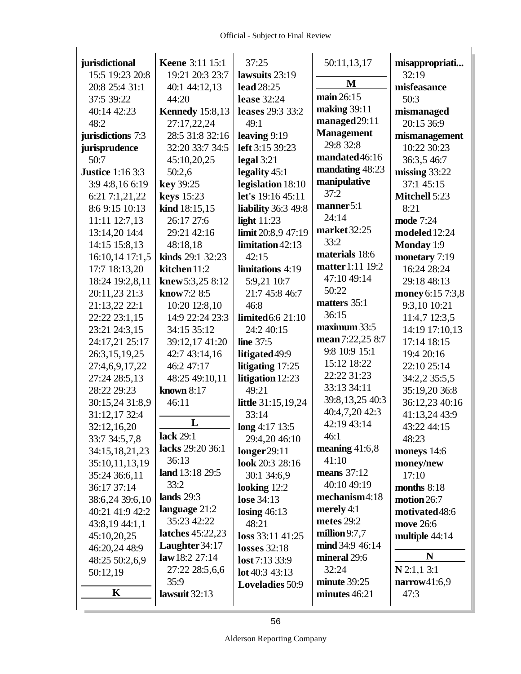| jurisdictional          | <b>Keene</b> 3:11 15:1 | 37:25                    | 50:11,13,17           | misappropriati       |
|-------------------------|------------------------|--------------------------|-----------------------|----------------------|
| 15:5 19:23 20:8         | 19:21 20:3 23:7        | lawsuits 23:19           | M                     | 32:19                |
| 20:8 25:4 31:1          | 40:1 44:12,13          | lead 28:25               | main 26:15            | misfeasance          |
| 37:5 39:22              | 44:20                  | <b>lease</b> 32:24       |                       | 50:3                 |
| 40:14 42:23             | <b>Kennedy</b> 15:8,13 | leases 29:3 33:2         | making 39:11          | mismanaged           |
| 48:2                    | 27:17,22,24            | 49:1                     | managed 29:11         | 20:15 36:9           |
| jurisdictions 7:3       | 28:5 31:8 32:16        | leaving 9:19             | <b>Management</b>     | mismanagement        |
| jurisprudence           | 32:20 33:7 34:5        | left 3:15 39:23          | 29:8 32:8             | 10:22 30:23          |
| 50:7                    | 45:10,20,25            | legal $3:21$             | mandated46:16         | 36:3,5 46:7          |
| <b>Justice</b> 1:16 3:3 | 50:2,6                 | legality 45:1            | mandating 48:23       | missing $33:22$      |
| 3:9 4:8,16 6:19         | key 39:25              | legislation 18:10        | manipulative          | 37:1 45:15           |
| 6:21 7:1,21,22          | <b>keys</b> 15:23      | <b>let's</b> 19:16 45:11 | 37:2                  | <b>Mitchell 5:23</b> |
| 8:6 9:15 10:13          | kind 18:15,15          | liability 36:3 49:8      | manner <sub>5:1</sub> | 8:21                 |
| 11:11 12:7,13           | 26:17 27:6             | light $11:23$            | 24:14                 | mode 7:24            |
| 13:14,20 14:4           | 29:21 42:16            | limit 20:8,9 47:19       | market 32:25          | modeled 12:24        |
| 14:15 15:8,13           | 48:18,18               | limitation 42:13         | 33:2                  | <b>Monday</b> 1:9    |
| 16:10,14 17:1,5         | kinds 29:1 32:23       | 42:15                    | materials 18:6        | monetary 7:19        |
| 17:7 18:13,20           | kitchen 11:2           | limitations 4:19         | matter 1:11 19:2      | 16:24 28:24          |
| 18:24 19:2,8,11         | knew 5:3,25 8:12       | 5:9,21 10:7              | 47:10 49:14           | 29:18 48:13          |
| 20:11,23 21:3           | know7:2 8:5            | 21:7 45:8 46:7           | 50:22                 | money 6:15 7:3,8     |
| 21:13,22 22:1           | 10:20 12:8,10          | 46:8                     | matters 35:1          | 9:3,10 10:21         |
| 22:22 23:1,15           | 14:9 22:24 23:3        | limited 6:6 21:10        | 36:15                 | 11:4,7 12:3,5        |
| 23:21 24:3,15           | 34:15 35:12            | 24:2 40:15               | maximum 33:5          | 14:19 17:10,13       |
| 24:17,21 25:17          | 39:12,17 41:20         | <b>line</b> 37:5         | mean 7:22,25 8:7      | 17:14 18:15          |
| 26:3,15,19,25           | 42:7 43:14,16          | litigated 49:9           | 9:8 10:9 15:1         | 19:4 20:16           |
| 27:4,6,9,17,22          | 46:2 47:17             | litigating 17:25         | 15:12 18:22           | 22:10 25:14          |
| 27:24 28:5,13           | 48:25 49:10,11         | litigation 12:23         | 22:22 31:23           | 34:2,2 35:5,5        |
| 28:22 29:23             | known 8:17             | 49:21                    | 33:13 34:11           | 35:19,20 36:8        |
| 30:15,24 31:8,9         | 46:11                  | little 31:15,19,24       | 39:8,13,25 40:3       | 36:12,23 40:16       |
| 31:12,17 32:4           |                        | 33:14                    | 40:4,7,20 42:3        | 41:13,24 43:9        |
| 32:12,16,20             | L                      | $\log 4:17$ 13:5         | 42:19 43:14           | 43:22 44:15          |
| 33:7 34:5,7,8           | lack 29:1              | 29:4,20 46:10            | 46:1                  | 48:23                |
| 34:15,18,21,23          | lacks 29:20 36:1       | longer29:11              | meaning $41:6,8$      | moneys 14:6          |
| 35:10,11,13,19          | 36:13                  | look 20:3 28:16          | 41:10                 | money/new            |
| 35:24 36:6,11           | land 13:18 29:5        | 30:1 34:6,9              | means $37:12$         | 17:10                |
| 36:17 37:14             | 33:2                   | looking 12:2             | 40:10 49:19           | months $8:18$        |
| 38:6,24 39:6,10         | lands $29:3$           | lose 34:13               | mechanism4:18         | motion $26:7$        |
| 40:21 41:9 42:2         | language 21:2          | losing $46:13$           | merely $4:1$          | motivated48:6        |
| 43:8,1944:1,1           | 35:23 42:22            | 48:21                    | metes $29:2$          | move 26:6            |
| 45:10,20,25             | latches 45:22,23       | $loss$ 33:11 41:25       | million $9:7,7$       | multiple 44:14       |
| 46:20,24 48:9           | Laughter $34:17$       | <b>losses</b> 32:18      | mind 34:9 46:14       |                      |
| 48:25 50:2,6,9          | law 18:2 27:14         | lost 7:13 33:9           | mineral 29:6          | N                    |
| 50:12,19                | 27:22 28:5,6,6         | lot 40:3 43:13           | 32:24                 | $N$ 2:1,1 3:1        |
|                         | 35:9                   | Loveladies 50:9          | minute 39:25          | narrow41:6,9         |
| K                       | lawsuit 32:13          |                          | minutes 46:21         | 47:3                 |
|                         |                        |                          |                       |                      |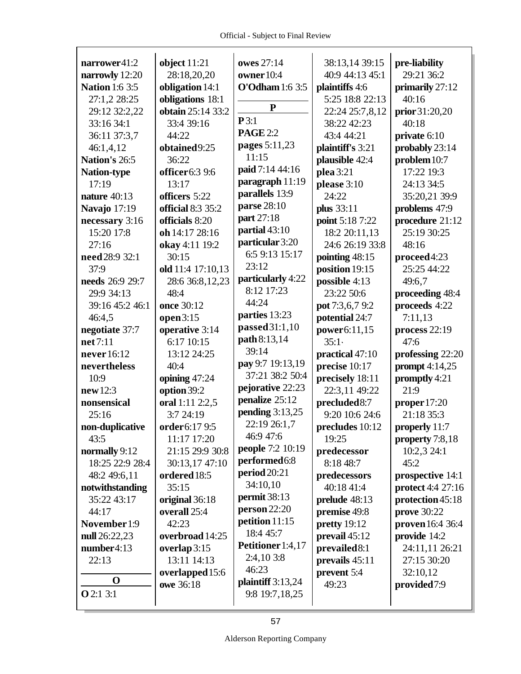| narrower41:2          | object $11:21$            | owes 27:14               | 38:13,14 39:15   | pre-liability      |
|-----------------------|---------------------------|--------------------------|------------------|--------------------|
| narrowly 12:20        | 28:18,20,20               | owner 10:4               | 40:9 44:13 45:1  | 29:21 36:2         |
| <b>Nation 1:6 3:5</b> | obligation 14:1           | <b>O'Odham</b> 1:6 3:5   | plaintiffs 4:6   | primarily 27:12    |
| 27:1,2 28:25          | obligations 18:1          |                          | 5:25 18:8 22:13  | 40:16              |
| 29:12 32:2,22         | obtain 25:14 33:2         | ${\bf P}$                | 22:24 25:7,8,12  | prior 31:20,20     |
| 33:16 34:1            | 33:4 39:16                | P3:1                     | 38:22 42:23      | 40:18              |
| 36:11 37:3,7          | 44:22                     | <b>PAGE 2:2</b>          | 43:4 44:21       | private 6:10       |
| 46:1,4,12             | obtained9:25              | pages 5:11,23            | plaintiff's 3:21 | probably 23:14     |
| Nation's 26:5         | 36:22                     | 11:15                    | plausible 42:4   | problem 10:7       |
| <b>Nation-type</b>    | officer6:3 9:6            | paid 7:14 44:16          | plea 3:21        | 17:22 19:3         |
| 17:19                 | 13:17                     | paragraph 11:19          | please 3:10      | 24:13 34:5         |
| nature $40:13$        | officers 5:22             | parallels 13:9           | 24:22            | 35:20,21 39:9      |
| Navajo 17:19          | official 8:3 35:2         | parse 28:10              | plus 33:11       | problems 47:9      |
| necessary 3:16        | officials 8:20            | part 27:18               | point 5:18 7:22  | procedure 21:12    |
| 15:20 17:8            | oh 14:17 28:16            | partial 43:10            | 18:2 20:11,13    | 25:19 30:25        |
| 27:16                 | okay 4:11 19:2            | particular 3:20          | 24:6 26:19 33:8  | 48:16              |
| need 28:9 32:1        | 30:15                     | 6:5 9:13 15:17           | pointing 48:15   | proceed4:23        |
| 37:9                  | old 11:4 17:10,13         | 23:12                    | position 19:15   | 25:25 44:22        |
| needs 26:9 29:7       | 28:6 36:8,12,23           | particularly 4:22        | possible 4:13    | 49:6,7             |
| 29:9 34:13            | 48:4                      | 8:12 17:23               | 23:22 50:6       | proceeding 48:4    |
| 39:16 45:2 46:1       | once 30:12                | 44:24                    | pot 7:3,6,7 9:2  | proceeds 4:22      |
| 46:4,5                | open 3:15                 | parties 13:23            | potential 24:7   | 7:11,13            |
| negotiate 37:7        | operative 3:14            | passed 31:1,10           | power6:11,15     | process 22:19      |
| net 7:11              | 6:17 10:15                | path 8:13,14             | 35:1             | 47:6               |
| never 16:12           | 13:12 24:25               | 39:14                    | practical 47:10  | professing 22:20   |
| nevertheless          | 40:4                      | pay 9:7 19:13,19         | precise 10:17    | prompt $4:14,25$   |
| 10:9                  | opining 47:24             | 37:21 38:2 50:4          | precisely 18:11  | promptly 4:21      |
| new 12:3              | option 39:2               | pejorative 22:23         | 22:3,11 49:22    | 21:9               |
| nonsensical           | oral 1:11 2:2,5           | penalize 25:12           | precluded 8:7    | proper 17:20       |
| 25:16                 | 3:7 24:19                 | pending $3:13,25$        | 9:20 10:6 24:6   | 21:18 35:3         |
| non-duplicative       | order <sub>6:17</sub> 9:5 | 22:19 26:1,7             | precludes 10:12  | properly 11:7      |
| 43:5                  | 11:17 17:20               | 46:9 47:6                | 19:25            | property 7:8,18    |
| normally 9:12         | 21:15 29:9 30:8           | people 7:2 10:19         | predecessor      | 10:2,3 24:1        |
| 18:25 22:9 28:4       | 30:13,17 47:10            | performed <sub>6:8</sub> | 8:18 48:7        | 45:2               |
| 48:2 49:6,11          | ordered 18:5              | period 20:21             | predecessors     | prospective 14:1   |
| notwithstanding       | 35:15                     | 34:10,10                 | 40:18 41:4       | protect 4:4 27:16  |
| 35:22 43:17           | original 36:18            | permit 38:13             | prelude 48:13    | protection 45:18   |
| 44:17                 | overall 25:4              | person 22:20             | premise 49:8     | <b>prove</b> 30:22 |
| November 1:9          | 42:23                     | petition 11:15           | pretty 19:12     | proven 16:4 36:4   |
| null 26:22,23         | overbroad 14:25           | 18:4 45:7                | prevail 45:12    | provide 14:2       |
| number4:13            | overlap 3:15              | Petitioner 1:4,17        | prevailed 8:1    | 24:11,11 26:21     |
| 22:13                 | 13:11 14:13               | 2:4,10 3:8               | prevails 45:11   | 27:15 30:20        |
|                       | overlapped 15:6           | 46:23                    | prevent 5:4      | 32:10,12           |
| $\mathbf 0$           | owe 36:18                 | plaintiff $3:13,24$      | 49:23            | provided7:9        |
| <b>O</b> 2:1 3:1      |                           | 9:8 19:7,18,25           |                  |                    |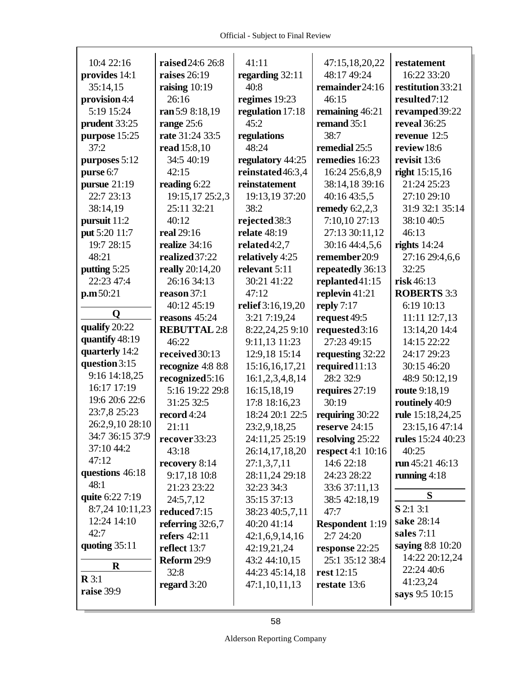| 10:4 22:16       | raised 24:6 26:8        | 41:11             | 47:15,18,20,22           | restatement              |
|------------------|-------------------------|-------------------|--------------------------|--------------------------|
| provides 14:1    | raises $26:19$          | regarding 32:11   | 48:17 49:24              | 16:22 33:20              |
| 35:14,15         | raising $10:19$         | 40:8              | remainder24:16           | restitution 33:21        |
| provision 4:4    | 26:16                   | regimes 19:23     | 46:15                    | resulted7:12             |
| 5:19 15:24       | ran 5:9 8:18,19         | regulation 17:18  | remaining 46:21          | revamped 39:22           |
| prudent 33:25    | range $25:6$            | 45:2              | remand 35:1              | reveal 36:25             |
| purpose 15:25    | rate 31:24 33:5         | regulations       | 38:7                     | revenue 12:5             |
| 37:2             | read 15:8,10            | 48:24             | remedial 25:5            | review 18:6              |
| purposes 5:12    | 34:5 40:19              | regulatory 44:25  | remedies 16:23           | revisit 13:6             |
| purse 6:7        | 42:15                   | reinstated 46:3,4 | 16:24 25:6,8,9           | right $15:15,16$         |
| pursue 21:19     | reading 6:22            | reinstatement     | 38:14,18 39:16           | 21:24 25:23              |
| 22:7 23:13       | 19:15,17 25:2,3         | 19:13,19 37:20    | 40:16 43:5,5             | 27:10 29:10              |
| 38:14,19         | 25:11 32:21             | 38:2              | remedy $6:2,2,3$         | 31:9 32:1 35:14          |
| pursuit 11:2     | 40:12                   | rejected 38:3     | 7:10,10 27:13            | 38:10 40:5               |
| put 5:20 11:7    | real 29:16              | relate 48:19      | 27:13 30:11,12           | 46:13                    |
| 19:7 28:15       | realize 34:16           | related $4:2,7$   | 30:16 44:4,5,6           | rights $14:24$           |
| 48:21            | realized 37:22          | relatively 4:25   | remember 20:9            | 27:16 29:4,6,6           |
| putting 5:25     | really 20:14,20         | relevant 5:11     | repeatedly 36:13         | 32:25                    |
| 22:23 47:4       | 26:16 34:13             | 30:21 41:22       | replanted 41:15          | risk46:13                |
| p.m.50:21        | reason 37:1             | 47:12             | replevin $41:21$         | <b>ROBERTS 3:3</b>       |
|                  | 40:12 45:19             | relief 3:16,19,20 | reply $7:17$             | 6:19 10:13               |
| Q                | reasons 45:24           | 3:21 7:19,24      | request 49:5             | 11:11 12:7,13            |
| qualify 20:22    | <b>REBUTTAL 2:8</b>     | 8:22,24,25 9:10   | requested3:16            | 13:14,20 14:4            |
| quantify 48:19   | 46:22                   | 9:11,13 11:23     | 27:23 49:15              | 14:15 22:22              |
| quarterly 14:2   | received 30:13          | 12:9,18 15:14     | requesting 32:22         | 24:17 29:23              |
| question 3:15    | recognize 4:8 8:8       | 15:16,16,17,21    | required 11:13           | 30:15 46:20              |
| 9:16 14:18,25    | recognized5:16          | 16:1,2,3,4,8,14   | 28:2 32:9                | 48:9 50:12,19            |
| 16:17 17:19      | 5:16 19:22 29:8         | 16:15,18,19       | requires 27:19           | route 9:18,19            |
| 19:6 20:6 22:6   | 31:25 32:5              | 17:8 18:16,23     | 30:19                    | routinely 40:9           |
| 23:7,8 25:23     | record 4:24             | 18:24 20:1 22:5   | requiring 30:22          | rule 15:18,24,25         |
| 26:2,9,10 28:10  | 21:11                   | 23:2,9,18,25      | reserve 24:15            | 23:15,16 47:14           |
| 34:7 36:15 37:9  | recover 33:23           | 24:11,25 25:19    | resolving 25:22          | <b>rules</b> 15:24 40:23 |
| 37:10 44:2       | 43:18                   | 26:14,17,18,20    | <b>respect</b> 4:1 10:16 | 40:25                    |
| 47:12            | recovery 8:14           | 27:1,3,7,11       | 14:6 22:18               | run 45:21 46:13          |
| questions 46:18  | 9:17,18 10:8            | 28:11,24 29:18    | 24:23 28:22              | running $4:18$           |
| 48:1             | 21:23 23:22             | 32:23 34:3        | 33:6 37:11,13            |                          |
| quite 6:22 7:19  | 24:5,7,12               | 35:15 37:13       | 38:5 42:18,19            | S                        |
| 8:7,24 10:11,23  | reduced <sub>7:15</sub> | 38:23 40:5,7,11   | 47:7                     | S 2:1 3:1                |
| 12:24 14:10      | referring $32:6,7$      | 40:20 41:14       | <b>Respondent 1:19</b>   | sake 28:14               |
| 42:7             | refers $42:11$          | 42:1,6,9,14,16    | 2:7 24:20                | sales 7:11               |
| quoting $35:11$  | reflect 13:7            | 42:19,21,24       | response 22:25           | saying 8:8 10:20         |
| $\bf R$          | Reform 29:9             | 43:2 44:10,15     | 25:1 35:12 38:4          | 14:22 20:12,24           |
| $\mathbf{R} 3:1$ | 32:8                    | 44:23 45:14,18    | rest 12:15               | 22:24 40:6               |
| raise 39:9       | regard $3:20$           | 47:1,10,11,13     | restate 13:6             | 41:23,24                 |
|                  |                         |                   |                          | says 9:5 10:15           |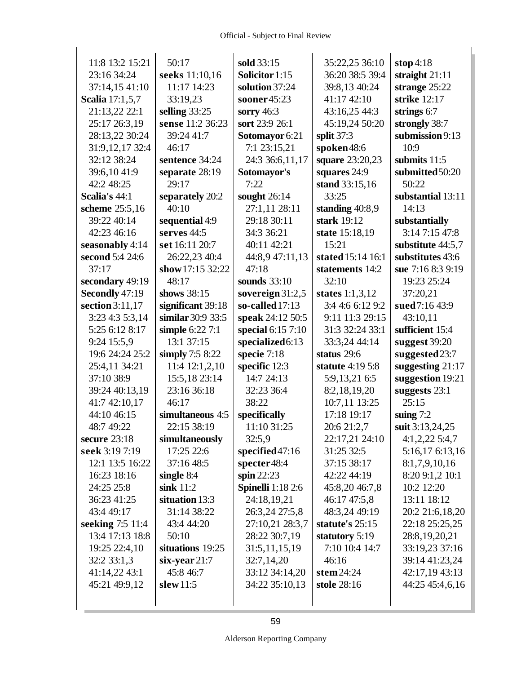| 11:8 13:2 15:21        | 50:17             | sold 33:15               | 35:22,25 36:10    | stop 4:18         |
|------------------------|-------------------|--------------------------|-------------------|-------------------|
| 23:16 34:24            | seeks 11:10,16    | Solicitor 1:15           | 36:20 38:5 39:4   | straight $21:11$  |
| 37:14,15 41:10         | 11:17 14:23       | solution 37:24           | 39:8,13 40:24     | strange 25:22     |
| <b>Scalia</b> 17:1,5,7 | 33:19,23          | sooner45:23              | 41:17 42:10       | strike 12:17      |
| 21:13,22 22:1          | selling $33:25$   | sorry $46:3$             | 43:16,25 44:3     | strings 6:7       |
| 25:17 26:3,19          | sense 11:2 36:23  | sort 23:9 26:1           | 45:19,24 50:20    | strongly 38:7     |
| 28:13,22 30:24         | 39:24 41:7        | Sotomayor 6:21           | split $37:3$      | submission 9:13   |
| 31:9, 12, 17 32:4      | 46:17             | 7:1 23:15,21             | spoken48:6        | 10:9              |
| 32:12 38:24            | sentence 34:24    | 24:3 36:6,11,17          | square 23:20,23   | submits 11:5      |
| 39:6,10 41:9           | separate 28:19    | Sotomayor's              | squares 24:9      | submitted 50:20   |
| 42:2 48:25             | 29:17             | 7:22                     | stand 33:15,16    | 50:22             |
| Scalia's 44:1          | separately 20:2   | sought $26:14$           | 33:25             | substantial 13:11 |
| scheme 25:5,16         | 40:10             | 27:1,11 28:11            | standing 40:8,9   | 14:13             |
| 39:22 40:14            | sequential 4:9    | 29:18 30:11              | stark 19:12       | substantially     |
| 42:23 46:16            | serves 44:5       | 34:3 36:21               | state 15:18,19    | 3:14 7:15 47:8    |
| seasonably 4:14        | set 16:11 20:7    | 40:11 42:21              | 15:21             | substitute 44:5,7 |
| second 5:4 24:6        | 26:22,23 40:4     | 44:8,9 47:11,13          | stated 15:14 16:1 | substitutes 43:6  |
| 37:17                  | show 17:15 32:22  | 47:18                    | statements 14:2   | sue 7:16 8:3 9:19 |
| secondary 49:19        | 48:17             | sounds $33:10$           | 32:10             | 19:23 25:24       |
| Secondly 47:19         | shows 38:15       | sovereign $31:2,5$       | states $1:1,3,12$ | 37:20,21          |
| section 3:11,17        | significant 39:18 | so-called 17:13          | 3:4 4:6 6:12 9:2  | sued 7:16 43:9    |
| 3:23 4:3 5:3,14        | similar 30:9 33:5 | speak 24:12 50:5         | 9:11 11:3 29:15   | 43:10,11          |
| 5:25 6:12 8:17         | simple 6:22 7:1   | special 6:15 7:10        | 31:3 32:24 33:1   | sufficient 15:4   |
| 9:24 15:5,9            | 13:1 37:15        | specialized 6:13         | 33:3,24 44:14     | suggest 39:20     |
| 19:6 24:24 25:2        | simply $7:58:22$  | specie 7:18              | status 29:6       | suggested 23:7    |
| 25:4,11 34:21          | 11:4 12:1,2,10    | specific 12:3            | statute 4:19 5:8  | suggesting 21:17  |
| 37:10 38:9             | 15:5,18 23:14     | 14:7 24:13               | 5:9,13,21 6:5     | suggestion 19:21  |
| 39:24 40:13,19         | 23:16 36:18       | 32:23 36:4               | 8:2,18,19,20      | suggests 23:1     |
| 41:7 42:10,17          | 46:17             | 38:22                    | 10:7,11 13:25     | 25:15             |
| 44:10 46:15            | simultaneous 4:5  | specifically             | 17:18 19:17       | suing $7:2$       |
| 48:7 49:22             | 22:15 38:19       | 11:10 31:25              | 20:6 21:2,7       | suit 3:13,24,25   |
| secure $23:18$         | simultaneously    | 32:5,9                   | 22:17,21 24:10    | $4:1,2,22$ 5:4,7  |
| seek 3:19 7:19         | 17:25 22:6        | specified 47:16          | 31:25 32:5        | 5:16,17 6:13,16   |
| 12:1 13:5 16:22        | 37:16 48:5        | specter 48:4             | 37:15 38:17       | 8:1,7,9,10,16     |
| 16:23 18:16            | single $8:4$      | spin $22:23$             | 42:22 44:19       | 8:20 9:1,2 10:1   |
| 24:25 25:8             | sink $11:2$       | <b>Spinelli</b> 1:18 2:6 | 45:8,20 46:7,8    | 10:2 12:20        |
| 36:23 41:25            | situation 13:3    | 24:18,19,21              | 46:17 47:5,8      | 13:11 18:12       |
| 43:4 49:17             | 31:14 38:22       | 26:3,24 27:5,8           | 48:3,24 49:19     | 20:2 21:6,18,20   |
| seeking 7:5 11:4       | 43:4 44:20        | 27:10,21 28:3,7          | statute's 25:15   | 22:18 25:25,25    |
| 13:4 17:13 18:8        | 50:10             | 28:22 30:7,19            | statutory 5:19    | 28:8, 19, 20, 21  |
| 19:25 22:4,10          | situations 19:25  | 31:5,11,15,19            | 7:10 10:4 14:7    | 33:19,23 37:16    |
| 32:2 33:1,3            | $six-year 21:7$   | 32:7,14,20               | 46:16             | 39:14 41:23,24    |
| 41:14,22 43:1          | 45:8 46:7         | 33:12 34:14,20           | stem $24:24$      | 42:17,19 43:13    |
| 45:21 49:9,12          | slew $11:5$       | 34:22 35:10,13           | stole 28:16       | 44:25 45:4,6,16   |
|                        |                   |                          |                   |                   |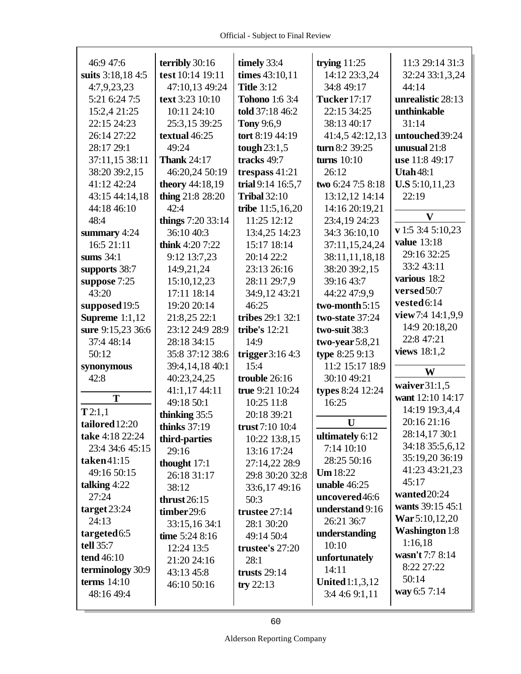| 46:9 47:6             | terribly 30:16         | timely 33:4           | trying $11:25$         | 11:3 29:14 31:3       |
|-----------------------|------------------------|-----------------------|------------------------|-----------------------|
| suits 3:18,18 4:5     | test 10:14 19:11       | times 43:10,11        | 14:12 23:3,24          | 32:24 33:1,3,24       |
| 4:7,9,23,23           | 47:10,13 49:24         | <b>Title 3:12</b>     | 34:8 49:17             | 44:14                 |
| 5:21 6:24 7:5         | text 3:23 10:10        | <b>Tohono</b> 1:6 3:4 | <b>Tucker</b> 17:17    | unrealistic 28:13     |
| 15:2,4 21:25          | 10:11 24:10            | told 37:18 46:2       | 22:15 34:25            | unthinkable           |
| 22:15 24:23           | 25:3,15 39:25          | <b>Tony 9:6,9</b>     | 38:13 40:17            | 31:14                 |
| 26:14 27:22           | textual 46:25          | tort 8:19 44:19       | 41:4,5 42:12,13        | untouched 39:24       |
| 28:17 29:1            | 49:24                  | tough $23:1,5$        | turn 8:2 39:25         | unusual 21:8          |
| 37:11,15 38:11        | <b>Thank 24:17</b>     | tracks 49:7           | turns $10:10$          | use 11:8 49:17        |
| 38:20 39:2,15         | 46:20,24 50:19         | trespass $41:21$      | 26:12                  | <b>Utah 48:1</b>      |
| 41:12 42:24           | <b>theory</b> 44:18,19 | trial 9:14 16:5,7     | two 6:24 7:5 8:18      | <b>U.S</b> 5:10,11,23 |
| 43:15 44:14,18        | thing 21:8 28:20       | <b>Tribal 32:10</b>   | 13:12,12 14:14         | 22:19                 |
| 44:18 46:10           | 42:4                   | tribe $11:5,16,20$    | 14:16 20:19,21         |                       |
| 48:4                  | things 7:20 33:14      | 11:25 12:12           | 23:4,19 24:23          | $\mathbf{V}$          |
| summary 4:24          | 36:10 40:3             | 13:4,25 14:23         | 34:3 36:10,10          | v 1:5 3:4 5:10,23     |
| 16:5 21:11            | think $4:207:22$       | 15:17 18:14           | 37:11,15,24,24         | <b>value</b> 13:18    |
| sums $34:1$           | 9:12 13:7,23           | 20:14 22:2            | 38:11,11,18,18         | 29:16 32:25           |
| supports 38:7         | 14:9,21,24             | 23:13 26:16           | 38:20 39:2,15          | 33:2 43:11            |
| suppose 7:25          | 15:10,12,23            | 28:11 29:7,9          | 39:16 43:7             | various 18:2          |
| 43:20                 | 17:11 18:14            | 34:9,12 43:21         | 44:22 47:9,9           | versed 50:7           |
| supposed 19:5         | 19:20 20:14            | 46:25                 | two-month 5:15         | vested 6:14           |
| <b>Supreme</b> 1:1,12 | 21:8,25 22:1           | tribes 29:1 32:1      | two-state 37:24        | view7:4 14:1,9,9      |
| sure 9:15,23 36:6     | 23:12 24:9 28:9        | tribe's 12:21         | two-suit 38:3          | 14:9 20:18,20         |
| 37:4 48:14            | 28:18 34:15            | 14:9                  | two-year $5:8,21$      | 22:8 47:21            |
| 50:12                 | 35:8 37:12 38:6        | trigger $3:164:3$     | type 8:25 9:13         | views $18:1,2$        |
| synonymous            | 39:4,14,18 40:1        | 15:4                  | 11:2 15:17 18:9        | W                     |
| 42:8                  | 40:23,24,25            | trouble 26:16         | 30:10 49:21            |                       |
|                       | 41:1,17 44:11          | true $9:21$ 10:24     | types 8:24 12:24       | waiver $31:1,5$       |
| T                     | 49:18 50:1             | 10:25 11:8            | 16:25                  | want 12:10 14:17      |
| T2:1,1                | thinking 35:5          | 20:18 39:21           |                        | 14:19 19:3,4,4        |
| tailored 12:20        | thinks $37:19$         | trust 7:10 10:4       | U                      | 20:16 21:16           |
| take 4:18 22:24       | third-parties          | 10:22 13:8,15         | ultimately 6:12        | 28:14,17 30:1         |
| 23:4 34:6 45:15       | 29:16                  | 13:16 17:24           | 7:14 10:10             | 34:18 35:5,6,12       |
| taken41:15            | thought 17:1           | 27:14,22 28:9         | 28:25 50:16            | 35:19,20 36:19        |
| 49:16 50:15           | 26:18 31:17            | 29:8 30:20 32:8       | Um 18:22               | 41:23 43:21,23        |
| talking $4:22$        | 38:12                  | 33:6,17 49:16         | unable $46:25$         | 45:17                 |
| 27:24                 | thrust $26:15$         | 50:3                  | uncovered46:6          | wanted 20:24          |
| target $23:24$        | timber 29:6            | trustee 27:14         | understand 9:16        | wants 39:15 45:1      |
| 24:13                 | 33:15,16 34:1          | 28:1 30:20            | 26:21 36:7             | War 5:10,12,20        |
| targeted 6:5          | time $5:248:16$        | 49:14 50:4            | understanding          | <b>Washington</b> 1:8 |
| tell 35:7             | 12:24 13:5             | trustee's 27:20       | 10:10                  | 1:16,18               |
| tend 46:10            | 21:20 24:16            | 28:1                  | unfortunately          | wasn't 7:7 8:14       |
| terminology 30:9      | 43:13 45:8             | trusts $29:14$        | 14:11                  | 8:22 27:22            |
| terms $14:10$         | 46:10 50:16            | try $22:13$           | <b>United</b> 1:1,3,12 | 50:14                 |
| 48:16 49:4            |                        |                       | 3:44:69:1,11           | way 6:5 7:14          |
|                       |                        |                       |                        |                       |